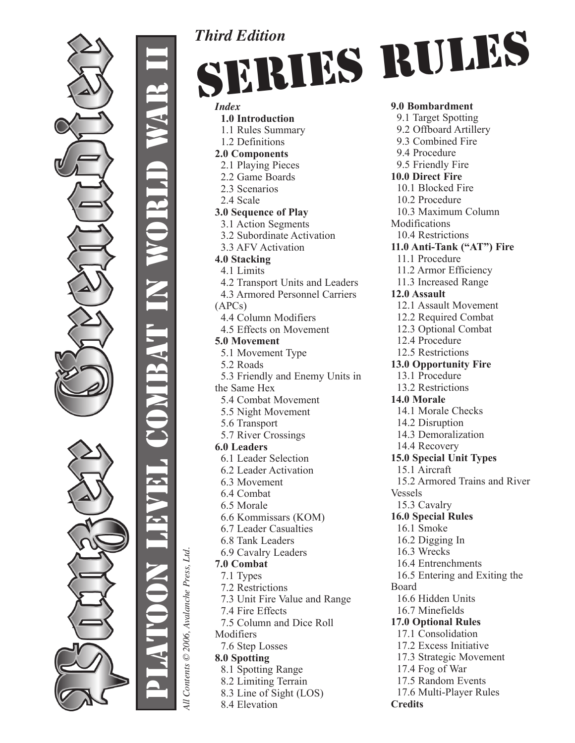

Platoon Level Combat in World War II 

All Contents © 2006, Avalanche Press, Ltd. *All Contents © 2006, Avalanche Press, Ltd.* *Index*  **1.0 Introduction** 1.1 Rules Summary 1.2 Definitions **2.0 Components** 2.1 Playing Pieces 2.2 Game Boards 2.3 Scenarios 2.4 Scale **3.0 Sequence of Play** 3.1 Action Segments 3.2 Subordinate Activation 3.3 AFV Activation **4.0 Stacking** 4.1 Limits 4.2 Transport Units and Leaders 4.3 Armored Personnel Carriers (APCs) 4.4 Column Modifiers 4.5 Effects on Movement **5.0 Movement** 5.1 Movement Type 5.2 Roads 5.3 Friendly and Enemy Units in the Same Hex 5.4 Combat Movement 5.5 Night Movement 5.6 Transport 5.7 River Crossings **6.0 Leaders** 6.1 Leader Selection 6.2 Leader Activation 6.3 Movement 6.4 Combat 6.5 Morale 6.6 Kommissars (KOM) 6.7 Leader Casualties 6.8 Tank Leaders 6.9 Cavalry Leaders **7.0 Combat** 7.1 Types 7.2 Restrictions 7.3 Unit Fire Value and Range 7.4 Fire Effects 7.5 Column and Dice Roll Modifiers 7.6 Step Losses **8.0 Spotting** 8.1 Spotting Range 8.2 Limiting Terrain 8.3 Line of Sight (LOS) 8.4 Elevation

*Third Edition*

**9.0 Bombardment** 9.1 Target Spotting 9.2 Offboard Artillery 9.3 Combined Fire 9.4 Procedure 9.5 Friendly Fire **10.0 Direct Fire** 10.1 Blocked Fire 10.2 Procedure 10.3 Maximum Column Modifications 10.4 Restrictions **11.0 Anti-Tank ("AT") Fire** 11.1 Procedure 11.2 Armor Efficiency 11.3 Increased Range **12.0 Assault** 12.1 Assault Movement 12.2 Required Combat 12.3 Optional Combat 12.4 Procedure 12.5 Restrictions **13.0 Opportunity Fire** 13.1 Procedure 13.2 Restrictions **14.0 Morale** 14.1 Morale Checks 14.2 Disruption 14.3 Demoralization 14.4 Recovery **15.0 Special Unit Types** 15.1 Aircraft 15.2 Armored Trains and River Vessels 15.3 Cavalry **16.0 Special Rules** 16.1 Smoke 16.2 Digging In 16.3 Wrecks 16.4 Entrenchments 16.5 Entering and Exiting the Board 16.6 Hidden Units 16.7 Minefields **17.0 Optional Rules** 17.1 Consolidation 17.2 Excess Initiative 17.3 Strategic Movement 17.4 Fog of War 17.5 Random Events 17.6 Multi-Player Rules **Credits** Series Rules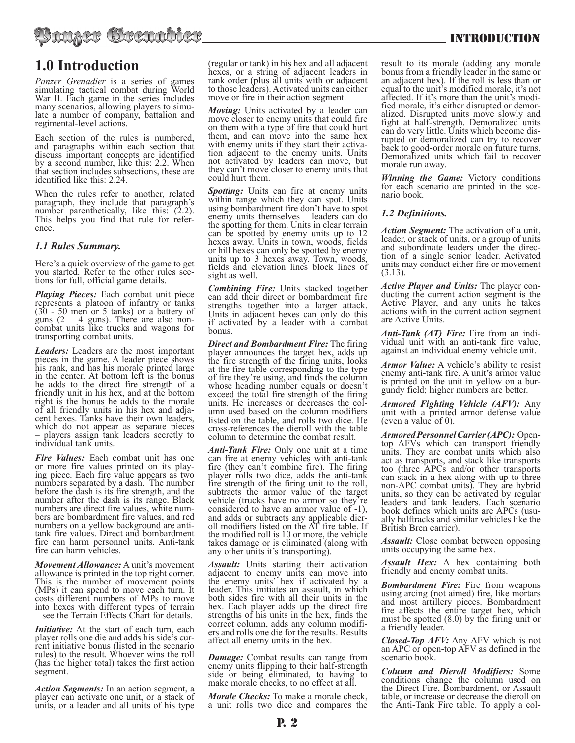# **1.0 Introduction**

*Panzer Grenadier* is a series of games simulating tactical combat during World War II. Each game in the series includes many scenarios, allowing players to simulate a number of company, battalion and regimental-level actions.

Each section of the rules is numbered, and paragraphs within each section that discuss important concepts are identified by a second number, like this: 2.2. When that section includes subsections, these are identified like this: 2.24.

When the rules refer to another, related paragraph, they include that paragraph's number parenthetically, like this. (2.2). This helps you find that rule for refer- ence.

# *1.1 Rules Summary.*

Here's a quick overview of the game to get you started. Refer to the other rules sec- tions for full, official game details.

*Playing Pieces:* Each combat unit piece represents a platoon of infantry or tanks (30 - 50 men or 5 tanks) or a battery of guns  $(2 - 4)$  guns). There are also noncombat units like trucks and wagons for transporting combat units.

*Leaders:* Leaders are the most important pieces in the game. A leader piece shows his rank, and has his morale printed large in the center. At bottom left is the bonus he adds to the direct fire strength of a friendly unit in his hex, and at the bottom right is the bonus he adds to the morale of all friendly units in his hex and adja- cent hexes. Tanks have their own leaders, which do not appear as separate pieces – players assign tank leaders secretly to individual tank units.

*Fire Values:* Each combat unit has one or more fire values printed on its playing piece. Each fire value appears as two numbers separated by a dash. The number before the dash is its fire strength, and the number after the dash is its range. Black numbers are direct fire values, white num- bers are bombardment fire values, and red numbers on a yellow background are antitank fire values. Direct and bombardment fire can harm personnel units. Anti-tank fire can harm vehicles.

*Movement Allowance:* A unit's movement allowance is printed in the top right corner. This is the number of movement points (MPs) it can spend to move each turn. It costs different numbers of MPs to move into hexes with different types of terrain – see the Terrain Effects Chart for details.

*Initiative:* At the start of each turn, each player rolls one die and adds his side's cur- rent initiative bonus (listed in the scenario rules) to the result. Whoever wins the roll (has the higher total) takes the first action segment.

*Action Segments:* In an action segment, a player can activate one unit, or a stack of units, or a leader and all units of his type

(regular or tank) in his hex and all adjacent hexes, or a string of adjacent leaders in rank order (plus all units with or adjacent to those leaders). Activated units can either move or fire in their action segment.

*Moving:* Units activated by a leader can move closer to enemy units that could fire on them with a type of fire that could hurt them, and can move into the same hex with enemy units if they start their activa-<br>tion adjacent to the enemy units. Units not activated by leaders can move, but they can't move closer to enemy units that could hurt them.

*Spotting:* Units can fire at enemy units within range which they can spot. Units using bombardment fire don't have to spot enemy units themselves – leaders can do the spotting for them. Units in clear terrain can be spotted by enemy units up to 12 hexes away. Units in town, woods, fields or hill hexes can only be spotted by enemy units up to 3 hexes away. Town, woods, fields and elevation lines block lines of sight as well.

*Combining Fire:* Units stacked together can add their direct or bombardment fire strengths together into a larger attack. Units in adjacent hexes can only do this if activated by a leader with a combat bonus.

*Direct and Bombardment Fire:* The firing player announces the target hex, adds up the fire strength of the firing units, looks at the fire table corresponding to the type of fire they're using, and finds the column whose heading number equals or doesn't exceed the total fire strength of the firing units. He increases or decreases the column used based on the column modifiers listed on the table, and rolls two dice. He cross-references the dieroll with the table column to determine the combat result.

*Anti-Tank Fire:* Only one unit at a time can fire at enemy vehicles with anti-tank fire (they can't combine fire). The firing player rolls two dice, adds the anti-tank fire strength of the firing unit to the roll, subtracts the armor value of the target vehicle (trucks have no armor so they're considered to have an armor value of -1), and adds or subtracts any applicable dieroll modifiers listed on the AT fire table. If the modified roll is 10 or more, the vehicle takes damage or is eliminated (along with any other units it's transporting).

**Assault:** Units starting their activation adjacent to enemy units can move into<br>the enemy units' hex if activated by a leader. This initiates an assault, in which both sides fire with all their units in the hex. Each player adds up the direct fire strengths of his units in the hex, finds the correct column, adds any column modifiers and rolls one die for the results. Results. affect all enemy units in the hex.

*Damage:* Combat results can range from enemy units flipping to their half-strength side or being eliminated, to having to make morale checks, to no effect at all.

*Morale Checks:* To make a morale check, a unit rolls two dice and compares the

result to its morale (adding any morale bonus from a friendly leader in the same or an adjacent hex). If the roll is less than or equal to the unit's modified morale, it's not affected. If it's more than the unit's modi- fied morale, it's either disrupted or demor- alized. Disrupted units move slowly and fight at half-strength. Demoralized units can do very little. Units which become dis- rupted or demoralized can try to recover back to good-order morale on future turns. Demoralized units which fail to recover morale run away.

*Winning the Game:* Victory conditions for each scenario are printed in the scenario book.

# *1.2 Definitions.*

*Action Segment:* The activation of a unit, leader, or stack of units, or a group of units tion of a single senior leader. Activated units may conduct either fire or movement (3.13).

*Active Player and Units:* The player con- ducting the current action segment is the Active Player, and any units he takes actions with in the current action segment are Active Units.

*Anti-Tank (AT) Fire:* Fire from an indi- vidual unit with an anti-tank fire value, against an individual enemy vehicle unit.

*Armor Value:* A vehicle's ability to resist enemy anti-tank fire. A unit's armor value is printed on the unit in yellow on a bur- gundy field; higher numbers are better.

*Armored Fighting Vehicle (AFV):* Any unit with a printed armor defense value (even a value of 0).

*Armored Personnel Carrier (APC):* Opentop AFVs which can transport friendly units. They are combat units which also act as transports, and stack like transports too (three APCs and/or other transports can stack in a hex along with up to three non-APC combat units). They are hybrid units, so they can be activated by regular leaders and tank leaders. Each scenario book defines which units are APCs (usu- ally halftracks and similar vehicles like the British Bren carrier).

*Assault:* Close combat between opposing units occupying the same hex.

*Assault Hex:* A hex containing both friendly and enemy combat units.

*Bombardment Fire:* Fire from weapons using arcing (not aimed) fire, like mortars and most artillery pieces. Bombardment fire affects the entire target hex, which must be spotted (8.0) by the firing unit or a friendly leader.

*Closed-Top AFV:* Any AFV which is not an APC or open-top AFV as defined in the scenario book.

*Column and Dieroll Modifiers:* Some conditions change the column used on the Direct Fire, Bombardment, or Assault table, or increase or decrease the dieroll on the Anti-Tank Fire table. To apply a col-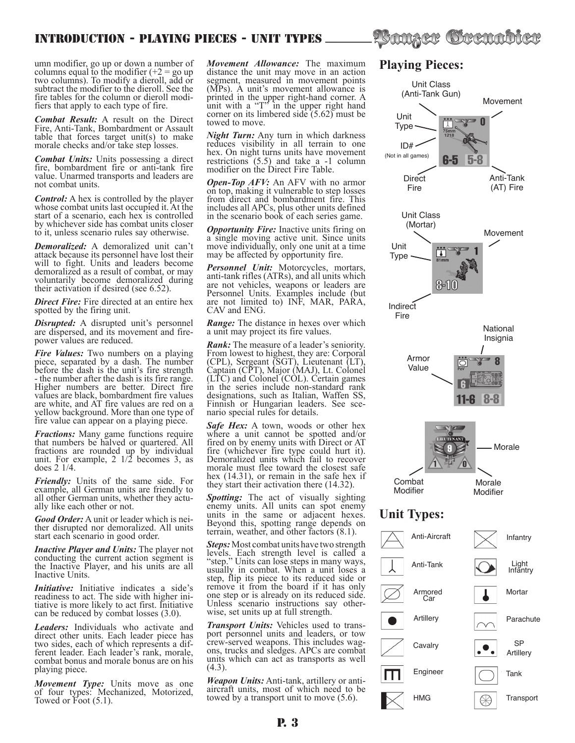umn modifier, go up or down a number of columns equal to the modifier  $(+2 = go up)$ two columns). To modify a dieroll, add or subtract the modifier to the dieroll. See the fire tables for the column or dieroll modi- fiers that apply to each type of fire.

*Combat Result:* A result on the Direct Fire, Anti-Tank, Bombardment or Assault table that forces target unit(s) to make morale checks and/or take step losses.

*Combat Units:* Units possessing a direct fire, bombardment fire or anti-tank fire value. Unarmed transports and leaders are not combat units.

*Control:* A hex is controlled by the player whose combat units last occupied it. At the start of a scenario, each hex is controlled by whichever side has combat units closer to it, unless scenario rules say otherwise.

*Demoralized:* A demoralized unit can't attack because its personnel have lost their will to fight. Units and leaders become demoralized as a result of combat, or may voluntarily become demoralized during their activation if desired (see 6.52).

*Direct Fire:* Fire directed at an entire hex spotted by the firing unit.

**Disrupted:** A disrupted unit's personnel are dispersed, and its movement and fire-<br>power values are reduced.

*Fire Values:* Two numbers on a playing piece, separated by a dash. The number before the dash is the unit's fire strength - the number after the dash is its fire range. Higher numbers are better. Direct fire values are black, bombardment fire values are white, and AT fire values are red on a yellow background. More than one type of fire value can appear on a playing piece.

*Fractions:* Many game functions require that numbers be halved or quartered. All fractions are rounded up by individual unit. For example,  $2 \frac{1}{2}$  becomes 3, as does 2 1/4.

*Friendly:* Units of the same side. For example, all German units are friendly to all other German units, whether they actu- ally like each other or not.

*Good Order:* A unit or leader which is nei- ther disrupted nor demoralized. All units start each scenario in good order.

*Inactive Player and Units:* The player not conducting the current action segment is the Inactive Player, and his units are all Inactive Units.

*Initiative:* Initiative indicates a side's readiness to act. The side with higher intiative is more likely to act first. Initiative can be reduced by combat losses (3.0).

*Leaders:* Individuals who activate and direct other units. Each leader piece has two sides, each of which represents a different leader. Each leader's rank, morale, combat bonus and morale bonus are on his playing piece.

*Movement Type:* Units move as one of four types: Mechanized, Motorized, Towed or Foot (5.1).

*Movement Allowance:* The maximum distance the unit may move in an action segment, measured in movement points (MPs). A unit's movement allowance is printed in the upper right-hand corner. A unit with a "T" in the upper right hand corner on its limbered side (5.62) must be towed to move.

*Night Turn:* Any turn in which darkness reduces visibility in all terrain to one hex. On night turns units have movement restrictions (5.5) and take a -1 column modifier on the Direct Fire Table.

*Open-Top AFV:* An AFV with no armor on top, making it vulnerable to step losses from direct and bombardment fire. This includes all APCs, plus other units defined in the scenario book of each series game.

*Opportunity Fire:* Inactive units firing on a single moving active unit. Since units move individually, only one unit at a time may be affected by opportunity fire.

*Personnel Unit:* Motorcycles, mortars, anti-tank rifles (ATRs), and all units which are not vehicles, weapons or leaders are Personnel Units. Examples include (but are not limited to) INF, MAR, PARA, CAV and ENG.

*Range:* The distance in hexes over which a unit may project its fire values.

*Rank:* The measure of a leader's seniority. From lowest to highest, they are: Corporal (CPL), Sergeant (SGT), Lieutenant (LT), Captain (CPT), Major (MAJ), Lt. Colonel (LTC) and Colonel (COL). Certain games in the series include non-standard rank designations, such as Italian, Waffen SS, Finnish or Hungarian leaders. See sce- nario special rules for details.

*Safe Hex:* A town, woods or other hex where a unit cannot be spotted and/or fired on by enemy units with Direct or AT fire (whichever fire type could hurt it). Demoralized units which fail to recover morale must flee toward the closest safe hex (14.31), or remain in the safe hex if they start their activation there (14.32).

*Spotting:* The act of visually sighting enemy units. All units can spot enemy units in the same or adjacent hexes. Beyond this, spotting range depends on terrain, weather, and other factors (8.1).

*Steps:* Most combat units have two strength levels. Each strength level is called a "step." Units can lose steps in many ways, usually in combat. When a unit loses a step, flip its piece to its reduced side or remove it from the board if it has only one step or is already on its reduced side. Unless scenario instructions say other-<br>wise, set units up at full strength.

*Transport Units:* Vehicles used to trans-<br>port personnel units and leaders, or tow crew-served weapons. This includes wag- ons, trucks and sledges. APCs are combat units which can act as transports as well (4.3).

*Weapon Units:* Anti-tank, artillery or anti- aircraft units, most of which need to be towed by a transport unit to move (5.6).

# **Playing Pieces:**

?Sanger Grenabler

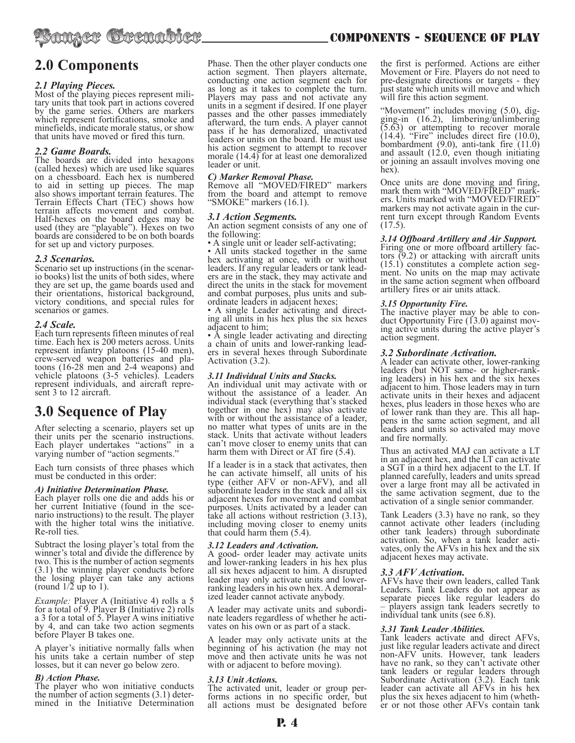

# *2.1 Playing Pieces.*

Most of the playing pieces represent mili- tary units that took part in actions covered by the game series. Others are markers which represent fortifications, smoke and minefields, indicate morale status, or show that units have moved or fired this turn.

# *2.2 Game Boards.*

The boards are divided into hexagons (called hexes) which are used like squares on a chessboard. Each hex is numbered to aid in setting up pieces. The map also shows important terrain features. The Terrain Effects Chart (TEC) shows how terrain affects movement and combat. Half-hexes on the board edges may be used (they are "playable"). Hexes on two boards are considered to be on both boards for set up and victory purposes.

# *2.3 Scenarios.*

Scenario set up instructions (in the scenario books) list the units of both sides, where they are set up, the game boards used and their orientations, historical background, victory conditions, and special rules for scenarios or games.

# *2.4 Scale.*

Each turn represents fifteen minutes of real time. Each hex is 200 meters across. Units represent infantry platoons (15-40 men), crew-served weapon batteries and platoons  $(16-28 \text{ men} \text{ and } 2-4 \text{ weapons})$  and vehicle platoons (3-5 vehicles). Leaders represent individuals, and aircraft repre- sent 3 to 12 aircraft.

# **3.0 Sequence of Play**

After selecting a scenario, players set up their units per the scenario instructions. Each player undertakes "actions" in a varying number of "action segments."

Each turn consists of three phases which must be conducted in this order:

# *A) Initiative Determination Phase.*

Each player rolls one die and adds his or her current Initiative (found in the scenario instructions) to the result. The player with the higher total wins the initiative. Re-roll ties.

Subtract the losing player's total from the winner's total and divide the difference by two. This is the number of action segments (3.1) the winning player conducts before the losing player can take any actions (round  $1/2$  up to 1).

*Example:* Player A (Initiative 4) rolls a 5 for a total of 9. Player B (Initiative 2) rolls a 3 for a total of 5. Player A wins initiative by 4, and can take two action segments before Player B takes one.

A player's initiative normally falls when his units take a certain number of step losses, but it can never go below zero.

# *B) Action Phase.*

The player who won initiative conducts the number of action segments (3.1) deter- mined in the Initiative Determination Phase. Then the other player conducts one action segment. Then players alternate, conducting one action segment each for as long as it takes to complete the turn. Players may pass and not activate any units in a segment if desired. If one player passes and the other passes immediately afterward, the turn ends. A player cannot pass if he has demoralized, unactivated leaders or units on the board. He must use his action segment to attempt to recover morale (14.4) for at least one demoralized leader or unit.

# *C) Marker Removal Phase.*

Remove all "MOVED/FIRED" markers from the board and attempt to remove "SMOKE" markers (16.1).

#### *3.1 Action Segments.*

An action segment consists of any one of the following:

• A single unit or leader self-activating;

• All units stacked together in the same hex activating at once, with or without leaders. If any regular leaders or tank lead- ers are in the stack, they may activate and direct the units in the stack for movement and combat purposes, plus units and sub- ordinate leaders in adjacent hexes;

• A single Leader activating and direct- ing all units in his hex plus the six hexes adjacent to him;

• A single leader activating and directing a chain of units and lower-ranking leaders in several hexes through Subordinate Activation (3.2).

# *3.11 Individual Units and Stacks.*

An individual unit may activate with or without the assistance of a leader. An individual stack (everything that's stacked together in one hex) may also activate with or without the assistance of a leader, no matter what types of units are in the stack. Units that activate without leaders can't move closer to enemy units that can harm them with Direct or AT fire  $(5.4)$ .

If a leader is in a stack that activates, then he can activate himself, all units of his type (either AFV or non-AFV), and all subordinate leaders in the stack and all six adjacent hexes for movement and combat purposes. Units activated by a leader can take all actions without restriction (3.13), including moving closer to enemy units that could harm them (5.4).

# *3.12 Leaders and Activation.*

A good- order leader may activate units and lower-ranking leaders in his hex plus all six hexes adjacent to him. A disrupted leader may only activate units and lowerranking leaders in his own hex. A demoral- ized leader cannot activate anybody.

A leader may activate units and subordi- nate leaders regardless of whether he acti- vates on his own or as part of a stack.

A leader may only activate units at the beginning of his activation (he may not move and then activate units he was not with or adjacent to before moving).

#### *3.13 Unit Actions.*

The activated unit, leader or group per-<br>forms actions in no specific order, but all actions must be designated before

the first is performed. Actions are either Movement or Fire. Players do not need to pre-designate directions or targets - they just state which units will move and which will fire this action segment.

"Movement" includes moving (5.0), dig- ging-in (16.2), limbering/unlimbering (5.63) or attempting to recover morale  $(14.4)$ . "Fire" includes direct fire  $(10.0)$ , bombardment  $(9.0)$ , anti-tank fire  $(11.0)$ and assault (12.0, even though initiating or joining an assault involves moving one hex).

Once units are done moving and firing, mark them with "MOVED/FIRED" mark-<br>ers. Units marked with "MOVED/FIRED" markers may not activate again in the cur- rent turn except through Random Events (17.5).

# *3.14 Offboard Artillery and Air Support.*

tors  $(9.2)$  or attacking with aircraft units  $(15.1)$  constitutes a complete action segment. No units on the map may activate in the same action segment when offboard artillery fires or air units attack.

#### *3.15 Opportunity Fire.*

The inactive player may be able to con-<br>duct Opportunity Fire (13.0) against mov-<br>ing active units during the active player's action segment.

#### *3.2 Subordinate Activation.*

A leader can activate other, lower-ranking<br>leaders (but NOT same- or higher-ranking leaders) in his hex and the six hexes adjacent to him. Those leaders may in turn activate units in their hexes and adjacent hexes, plus leaders in those hexes who are of lower rank than they are. This all hap- pens in the same action segment, and all leaders and units so activated may move and fire normally.

Thus an activated MAJ can activate a LT in an adjacent hex, and the LT can activate a SGT in a third hex adjacent to the LT. If planned carefully, leaders and units spread over a large front may all be activated in the same activation segment, due to the activation of a single senior commander.

Tank Leaders (3.3) have no rank, so they cannot activate other leaders (including other tank leaders) through subordinate activation. So, when a tank leader acti- vates, only the AFVs in his hex and the six adjacent hexes may activate.

#### *3.3 AFV Activation.*

AFVs have their own leaders, called Tank Leaders. Tank Leaders do not appear as separate pieces like regular leaders do – players assign tank leaders secretly to individual tank units (see 6.8).

# *3.31 Tank Leader Abilities.*

Tank leaders activate and direct AFVs, just like regular leaders activate and direct non-AFV units. However, tank leaders have no rank, so they can't activate other tank leaders or regular leaders through Subordinate Activation (3.2). Each tank leader can activate all AFVs in his hex plus the six hexes adjacent to him (wheth-<br>er or not those other AFVs contain tank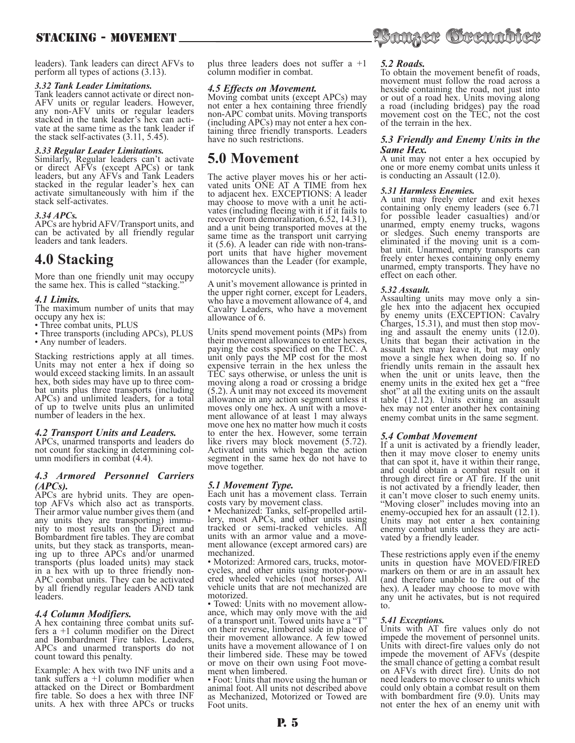# STACKING - MOVEMENT

leaders). Tank leaders can direct AFVs to perform all types of actions (3.13).

# *3.32 Tank Leader Limitations.*

Tank leaders cannot activate or direct non-AFV units or regular leaders. However, any non-AFV units or regular leaders<br>stacked in the tank leader's hex can activate at the same time as the tank leader if the stack self-activates (3.11, 5.45).

# *3.33 Regular Leader Limitations.*

Similarly, Regular leaders can't activate or direct AFVs (except APCs) or tank leaders, but any AFVs and Tank Leaders stacked in the regular leader's hex can activate simultaneously with him if the stack self-activates.

#### *3.34 APCs.*

APCs are hybrid AFV/Transport units, and can be activated by all friendly regular leaders and tank leaders.

# **4.0 Stacking**

More than one friendly unit may occupy the same hex. This is called "stacking."

#### *4.1 Limits.*

The maximum number of units that may occupy any hex is:

- Three combat units, PLUS
- Three transports (including APCs), PLUS

• Any number of leaders.

Stacking restrictions apply at all times. Units may not enter a hex if doing so would exceed stacking limits. In an assault hex, both sides may have up to three com- bat units plus three transports (including APCs) and unlimited leaders, for a total of up to twelve units plus an unlimited number of leaders in the hex.

# *4.2 Transport Units and Leaders.*

APCs, unarmed transports and leaders do not count for stacking in determining col- umn modifiers in combat (4.4).

# *4.3 Armored Personnel Carriers (APCs).*

APCs are hybrid units. They are opentop AFVs which also act as transports. Their armor value number gives them (and any units they are transporting) immu- nity to most results on the Direct and Bombardment fire tables. They are combat units, but they stack as transports, mean-<br>ing up to three APCs and/or unarmed transports (plus loaded units) may stack in a hex with up to three friendly non-APC combat units. They can be activated by all friendly regular leaders AND tank leaders.

# *4.4 Column Modifiers.*

A hex containing three combat units suffers  $a +1$  column modifier on the Direct and Bombardment Fire tables. Leaders, APCs and unarmed transports do not count toward this penalty.

Example: A hex with two INF units and a tank suffers  $a +1$  column modifier when attacked on the Direct or Bombardment fire table. So does a hex with three INF units. A hex with three APCs or trucks plus three leaders does not suffer a +1 column modifier in combat.

# *4.5 Effects on Movement.*

Moving combat units (except APCs) may not enter a hex containing three friendly non-APC combat units. Moving transports<br>(including APCs) may not enter a hex containing three friendly transports. Leaders have no such restrictions.

# **5.0 Movement**

The active player moves his or her acti- vated units ONE AT A TIME from hex to adjacent hex. EXCEPTIONS: A leader vates (including fleeing with it if it fails to recover from demoralization, 6.52, 14.31), and a unit being transported moves at the same time as the transport unit carrying<br>it (5.6). A leader can ride with non-transport units that have higher movement allowances than the Leader (for example, motorcycle units).

A unit's movement allowance is printed in the upper right corner, except for Leaders, who have a movement allowance of 4, and Cavalry Leaders, who have a movement allowance of 6.

Units spend movement points (MPs) from their movement allowances to enter hexes, paying the costs specified on the TEC. A unit only pays the MP cost for the most expensive terrain in the hex unless the TEC says otherwise, or unless the unit is moving along a road or crossing a bridge (5.2). A unit may not exceed its movement allowance in any action segment unless it ment allowance of at least 1 may always move one hex no matter how much it costs to enter the hex. However, some terrain like rivers may block movement (5.72). Activated units which began the action segment in the same hex do not have to move together.

# *5.1 Movement Type.*

Each unit has a movement class. Terrain

costs vary by movement class.<br>• Mechanized: Tanks, self-propelled artil-• Mechanized: Tanks, self-propelled artil- lery, most APCs, and other units using tracked or semi-tracked vehicles. All units with an armor value and a move- ment allowance (except armored cars) are

mechanized.<br>• Motorized: Armored cars, trucks, motorcycles, and other units using motor-pow-<br>ered wheeled vehicles (not horses). All vehicle units that are not mechanized are

motorized.<br>• Towed: Units with no movement allowance, which may only move with the aid of a transport unit. Towed units have a "T" on their reverse, limbered side in place of their movement allowance. A few towed units have a movement allowance of 1 on their limbered side. These may be towed or move on their own using Foot move- ment when limbered.

• Foot: Units that move using the human or animal foot. All units not described above as Mechanized, Motorized or Towed are Foot units.

# *5.2 Roads.*

To obtain the movement benefit of roads, movement must follow the road across a hexside containing the road, not just into or out of a road hex. Units moving along a road (including bridges) pay the road movement cost on the TEC, not the cost of the terrain in the hex.

Saager Grenabler

# *5.3 Friendly and Enemy Units in the Same Hex.*

A unit may not enter a hex occupied by one or more enemy combat units unless it is conducting an Assault (12.0).

# *5.31 Harmless Enemies.*

A unit may freely enter and exit hexes containing only enemy leaders (see 6.71 for possible leader casualties) and/or unarmed, empty enemy trucks, wagons or sledges. Such enemy transports are eliminated if the moving unit is a com- bat unit. Unarmed, empty transports can freely enter hexes containing only enemy unarmed, empty transports. They have no effect on each other.

*5.32 Assault.* gle hex into the adjacent hex occupied by enemy units (EXCEPTION: Cavalry Charges, 15.31), and must then stop mov- ing and assault the enemy units (12.0). Units that began their activation in the assault hex may leave it, but may only move a single hex when doing so. If no friendly units remain in the assault hex when the unit or units leave, then the enemy units in the exited hex get a "free shot" at all the exiting units on the assault table (12.12). Units exiting an assault hex may not enter another hex containing enemy combat units in the same segment.

# *5.4 Combat Movement*

If a unit is activated by a friendly leader, then it may move closer to enemy units that can spot it, have it within their range, and could obtain a combat result on it through direct fire or AT fire. If the unit is not activated by a friendly leader, then it can't move closer to such enemy units. "Moving closer" includes moving into an enemy-occupied hex for an assault (12.1). Units may not enter a hex containing enemy combat units unless they are activated by a friendly leader.

These restrictions apply even if the enemy units in question have MOVED/FIRED markers on them or are in an assault hex (and therefore unable to fire out of the hex). A leader may choose to move with any unit he activates, but is not required to.

#### *5.41 Exceptions.*

Units with AT fire values only do not impede the movement of personnel units. Units with direct-fire values only do not impede the movement of AFVs (despite the small chance of getting a combat result on AFVs with direct fire). Units do not need leaders to move closer to units which could only obtain a combat result on them with bombardment fire (9.0). Units may not enter the hex of an enemy unit with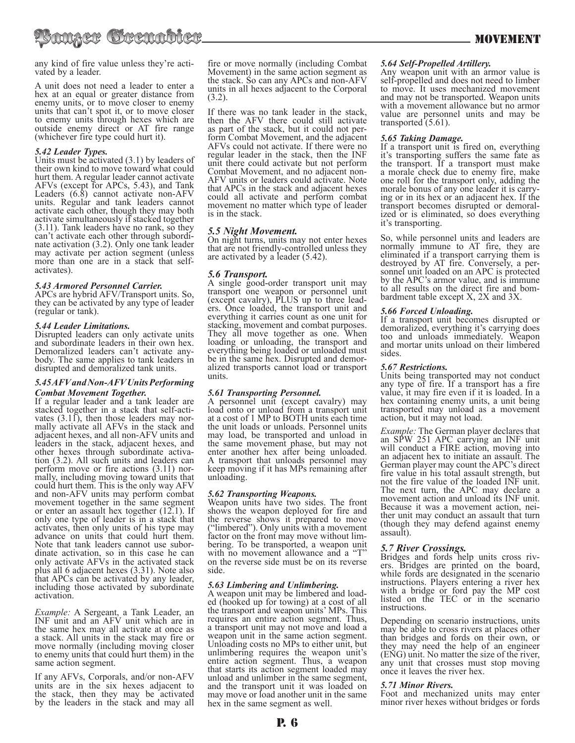any kind of fire value unless they're acti- vated by a leader.

A unit does not need a leader to enter a hex at an equal or greater distance from enemy units, or to move closer to enemy units that can't spot it, or to move closer to enemy units through hexes which are outside enemy direct or AT fire range (whichever fire type could hurt it).

# *5.42 Leader Types.*

Units must be activated (3.1) by leaders of their own kind to move toward what could hurt them. A regular leader cannot activate AFVs (except for APCs, 5.43), and Tank Leaders (6.8) cannot activate non-AFV units. Regular and tank leaders cannot activate each other, though they may both activate simultaneously if stacked together (3.11). Tank leaders have no rank, so they can't activate each other through subordi- nate activation (3.2). Only one tank leader may activate per action segment (unless more than one are in a stack that selfactivates).

# *5.43 Armored Personnel Carrier.*

APCs are hybrid AFV/Transport units. So, they can be activated by any type of leader (regular or tank).

# *5.44 Leader Limitations.*

Disrupted leaders can only activate units and subordinate leaders in their own hex.<br>Demoralized leaders can't activate anybody. The same applies to tank leaders in disrupted and demoralized tank units.

# *5.45 AFV and Non-AFV Units Performing Combat Movement Together.*

If a regular leader and a tank leader are stacked together in a stack that self-acti-<br>vates (3.11), then those leaders may nor-<br>mally activate all AFVs in the stack and adjacent hexes, and all non-AFV units and leaders in the stack, adjacent hexes, and other hexes through subordinate activa- tion (3.2). All such units and leaders can perform move or fire actions (3.11) nor- mally, including moving toward units that could hurt them. This is the only way AFV and non-AFV units may perform combat movement together in the same segment or enter an assault hex together (12.1). If only one type of leader is in a stack that activates, then only units of his type may advance on units that could hurt them. Note that tank leaders cannot use subor- dinate activation, so in this case he can only activate AFVs in the activated stack plus all 6 adjacent hexes (3.31). Note also that APCs can be activated by any leader, including those activated by subordinate activation.

*Example:* A Sergeant, a Tank Leader, an INF unit and an AFV unit which are in the same hex may all activate at once as a stack. All units in the stack may fire or move normally (including moving closer to enemy units that could hurt them) in the same action segment.

If any AFVs, Corporals, and/or non-AFV units are in the six hexes adjacent to the stack, then they may be activated by the leaders in the stack and may all fire or move normally (including Combat Movement) in the same action segment as the stack. So can any APCs and non-AFV units in all hexes adjacent to the Corporal (3.2).

If there was no tank leader in the stack, then the AFV there could still activate as part of the stack, but it could not perform Combat Movement, and the adjacent AFVs could not activate. If there were no regular leader in the stack, then the INF unit there could activate but not perform Combat Movement, and no adjacent non-AFV units or leaders could activate. Note that APCs in the stack and adjacent hexes could all activate and perform combat movement no matter which type of leader is in the stack.

# *5.5 Night Movement.*

On night turns, units may not enter hexes that are not friendly-controlled unless they are activated by a leader (5.42).

# *5.6 Transport.*

A single good-order transport unit may transport one weapon or personnel unit (except cavalry), PLUS up to three lead-<br>ers. Once loaded, the transport unit and everything it carries count as one unit for stacking, movement and combat purposes. They all move together as one. When loading or unloading, the transport and everything being loaded or unloaded must be in the same hex. Disrupted and demor- alized transports cannot load or transport units.

# *5.61 Transporting Personnel.*

A personnel unit (except cavalry) may load onto or unload from a transport unit at a cost of 1 MP to BOTH units each time the unit loads or unloads. Personnel units may load, be transported and unload in the same movement phase, but may not enter another hex after being unloaded. A transport that unloads personnel may keep moving if it has MPs remaining after unloading.

# *5.62 Transporting Weapons.*

Weapon units have two sides. The front shows the weapon deployed for fire and the reverse shows it prepared to move ("limbered"). Only units with a movement factor on the front may move without lim- bering. To be transported, a weapon unit with no movement allowance and a "T" on the reverse side must be on its reverse side.

*5.63 Limbering and Unlimbering.* ed (hooked up for towing) at a cost of all the transport and weapon units' MPs. This requires an entire action segment. Thus, a transport unit may not move and load a weapon unit in the same action segment. Unloading costs no MPs to either unit, but unlimbering requires the weapon unit's entire action segment. Thus, a weapon that starts its action segment loaded may unload and unlimber in the same segment, and the transport unit it was loaded on may move or load another unit in the same hex in the same segment as well.

# *5.64 Self-Propelled Artillery.*

Any weapon unit with an armor value is self-propelled and does not need to limber to move. It uses mechanized movement and may not be transported. Weapon units with a movement allowance but no armor value are personnel units and may be transported  $(5.61)$ .

# *5.65 Taking Damage.*

If a transport unit is fired on, everything it's transporting suffers the same fate as the transport. If a transport must make a morale check due to enemy fire, make one roll for the transport only, adding the morale bonus of any one leader it is carry- ing or in its hex or an adjacent hex. If the transport becomes disrupted or demoral- ized or is eliminated, so does everything it's transporting.

So, while personnel units and leaders are normally immune to AT fire, they are eliminated if a transport carrying them is destroyed by AT fire. Conversely, a per-<br>sonnel unit loaded on an APC is protected by the APC's armor value, and is immune to all results on the direct fire and bom- bardment table except X, 2X and 3X.

# *5.66 Forced Unloading.*

If a transport unit becomes disrupted or demoralized, everything it's carrying does too and unloads immediately. Weapon and mortar units unload on their limbered sides.

# *5.67 Restrictions.*

Units being transported may not conduct any type of fire. If a transport has a fire value, it may fire even if it is loaded. In a hex containing enemy units, a unit being transported may unload as a movement action, but it may not load.

*Example:* The German player declares that an SPW 251 APC carrying an INF unit will conduct a FIRE action, moving into an adjacent hex to initiate an assault. The German player may count the APC's direct fire value in his total assault strength, but not the fire value of the loaded INF unit. The next turn, the APC may declare a movement action and unload its INF unit. Because it was a movement action, nei- ther unit may conduct an assault that turn (though they may defend against enemy assault).

# *5.7 River Crossings.*

Bridges and fords help units cross riv- ers. Bridges are printed on the board, while fords are designated in the scenario instructions. Players entering a river hex with a bridge or ford pay the MP cost listed on the TEC or in the scenario instructions.

Depending on scenario instructions, units may be able to cross rivers at places other than bridges and fords on their own, or they may need the help of an engineer (ENG) unit. No matter the size of the river, any unit that crosses must stop moving once it leaves the river hex.

# *5.71 Minor Rivers.*

Foot and mechanized units may enter minor river hexes without bridges or fords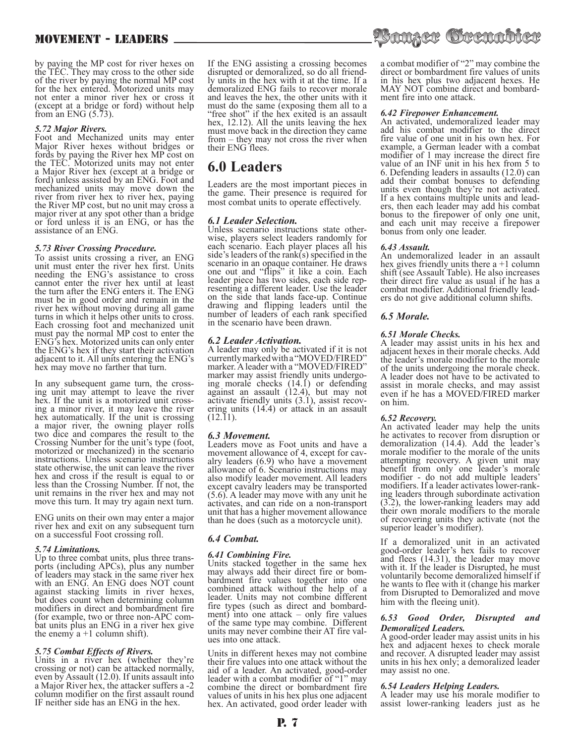# MOVEMENT - LEADERS

by paying the MP cost for river hexes on the TEC. They may cross to the other side of the river by paying the normal MP cost for the hex entered. Motorized units may not enter a minor river hex or cross it (except at a bridge or ford) without help from an ENG  $(5.73)$ .

# *5.72 Major Rivers.*

Foot and Mechanized units may enter Major River hexes without bridges or fords by paying the River hex MP cost on the TEC. Motorized units may not enter a Major River hex (except at a bridge or ford) unless assisted by an ENG. Foot and mechanized units may move down the river from river hex to river hex, paying the River MP cost, but no unit may cross a major river at any spot other than a bridge or ford unless it is an ENG, or has the assistance of an ENG.

# *5.73 River Crossing Procedure.*

To assist units crossing a river, an ENG unit must enter the river hex first. Units needing the ENG's assistance to cross cannot enter the river hex until at least the turn after the ENG enters it. The ENG must be in good order and remain in the river hex without moving during all game turns in which it helps other units to cross. Each crossing foot and mechanized unit must pay the normal MP cost to enter the ENG's hex. Motorized units can only enter the ENG's hex if they start their activation adjacent to it. All units entering the ENG's hex may move no farther that turn.

In any subsequent game turn, the cross-<br>ing unit may attempt to leave the river<br>hex. If the unit is a motorized unit crosshex. If the unit is a motorized unit cross-<br>ing a minor river, it may leave the river hex automatically. If the unit is crossing a major river, the owning player rolls two dice and compares the result to the Crossing Number for the unit's type (foot, motorized or mechanized) in the scenario instructions. Unless scenario instructions state otherwise, the unit can leave the river hex and cross if the result is equal to or less than the Crossing Number. If not, the unit remains in the river hex and may not move this turn. It may try again next turn.

ENG units on their own may enter a major river hex and exit on any subsequent turn on a successful Foot crossing roll.

# *5.74 Limitations.*

Up to three combat units, plus three trans- ports (including APCs), plus any number of leaders may stack in the same river hex with an ENG. An ENG does NOT count against stacking limits in river hexes, but does count when determining column modifiers in direct and bombardment fire<br>(for example, two or three non-APC combat units plus an ENG in a river hex give the enemy  $a + 1$  column shift).

# *5.75 Combat Effects of Rivers.*

Units in a river hex (whether they're crossing or not) can be attacked normally, even by Assault (12.0). If units assault into a Major River hex, the attacker suffers a -2 column modifier on the first assault round IF neither side has an ENG in the hex.

If the ENG assisting a crossing becomes disrupted or demoralized, so do all friend- ly units in the hex with it at the time. If a demoralized ENG fails to recover morale and leaves the hex, the other units with it must do the same (exposing them all to a "free shot" if the hex exited is an assault hex, 12.12). All the units leaving the hex must move back in the direction they came from – they may not cross the river when their ENG flees.

# **6.0 Leaders**

Leaders are the most important pieces in the game. Their presence is required for most combat units to operate effectively.

*6.1 Leader Selection.* wise, players select leaders randomly for each scenario. Each player places all his side's leaders of the rank(s) specified in the scenario in an opaque container. He draws one out and "flips" it like a coin. Each leader piece has two sides, each side rep-<br>resenting a different leader. Use the leader on the side that lands face-up. Continue drawing and flipping leaders until the number of leaders of each rank specified in the scenario have been drawn.

# *6.2 Leader Activation.*

A leader may only be activated if it is not currently marked with a "MOVED/FIRED" marker. A leader with a "MOVED/FIRED" marker may assist friendly units undergo-<br>ing morale checks (14.1) or defending against an assault (12.4), but may not activate friendly units (3.1), assist recov- ering units (14.4) or attack in an assault  $(12.11)$ .

# *6.3 Movement.*

Leaders move as Foot units and have a movement allowance of 4, except for cavalry leaders  $(6.9)$  who have a movement allowance of 6. Scenario instructions may also modify leader movement. All leaders except cavalry leaders may be transported (5.6). A leader may move with any unit he activates, and can ride on a non-transport unit that has a higher movement allowance than he does (such as a motorcycle unit).

# *6.4 Combat.*

# *6.41 Combining Fire.*

Units stacked together in the same hex<br>may always add their direct fire or bombardment fire values together into one combined attack without the help of a leader. Units may not combine different fire types (such as direct and bombard- ment) into one attack – only fire values of the same type may combine. Different units may never combine their AT fire values into one attack.

Units in different hexes may not combine their fire values into one attack without the aid of a leader. An activated, good-order leader with a combat modifier of "1" may combine the direct or bombardment fire values of units in his hex plus one adjacent hex. An activated, good order leader with



a combat modifier of "2" may combine the direct or bombardment fire values of units in his hex plus two adjacent hexes. He MAY NOT combine direct and bombardment fire into one attack.

# *6.42 Firepower Enhancement.*

An activated, undemoralized leader may add his combat modifier to the direct fire value of one unit in his own hex. For example, a German leader with a combat modifier of 1 may increase the direct fire value of an INF unit in his hex from 5 to 6. Defending leaders in assaults (12.0) can add their combat bonuses to defending units even though they're not activated. ers, then each leader may add his combat bonus to the firepower of only one unit, and each unit may receive a firepower bonus from only one leader.

# *6.43 Assault.*

An undemoralized leader in an assault hex gives friendly units there  $a + 1$  column shift (see Assault Table). He also increases their direct fire value as usual if he has a combat modifier. Additional friendly leaders do not give additional column shifts.

# *6.5 Morale.*

# *6.51 Morale Checks.*

A leader may assist units in his hex and adjacent hexes in their morale checks. Add the leader's morale modifier to the morale of the units undergoing the morale check. A leader does not have to be activated to assist in morale checks, and may assist even if he has a MOVED/FIRED marker on him.

# *6.52 Recovery.*

An activated leader may help the units he activates to recover from disruption or demoralization (14.4). Add the leader's morale modifier to the morale of the units attempting recovery. A given unit may benefit from only one leader's morale modifier - do not add multiple leaders' modifiers. If a leader activates lower-rank- ing leaders through subordinate activation (3.2), the lower-ranking leaders may add their own morale modifiers to the morale of recovering units they activate (not the superior leader's modifier).

If a demoralized unit in an activated good-order leader's hex fails to recover and flees (14.31), the leader may move with it. If the leader is Disrupted, he must voluntarily become demoralized himself if he wants to flee with it (change his marker from Disrupted to Demoralized and move him with the fleeing unit).

#### *6.53 Good Order, Disrupted and Demoralized Leaders.*

A good-order leader may assist units in his hex and adjacent hexes to check morale and recover. A disrupted leader may assist units in his hex only; a demoralized leader may assist no one.

# *6.54 Leaders Helping Leaders.*

A leader may use his morale modifier to assist lower-ranking leaders just as he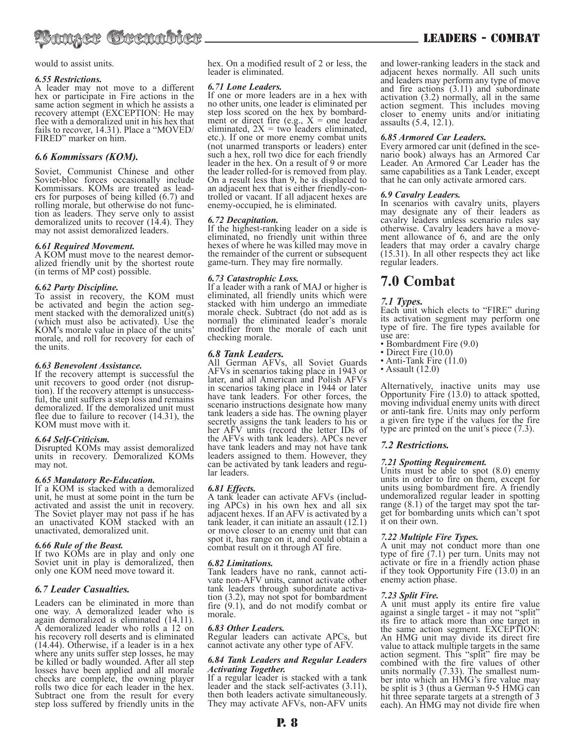

#### would to assist units.

#### *6.55 Restrictions.*

A leader may not move to a different hex or participate in Fire actions in the same action segment in which he assists a recovery attempt (EXCEPTION: He may flee with a demoralized unit in his hex that fails to recover, 14.31). Place a "MOVED/ FIRED" marker on him.

# *6.6 Kommissars (KOM).*

Soviet, Communist Chinese and other Soviet-bloc forces occasionally include<br>Kommissars. KOMs are treated as leaders for purposes of being killed  $(6.7)$  and rolling morale, but otherwise do not function as leaders. They serve only to assist demoralized units to recover (14.4). They may not assist demoralized leaders.

#### *6.61 Required Movement.*

A KOM must move to the nearest demor- alized friendly unit by the shortest route (in terms of MP cost) possible.

# *6.62 Party Discipline.*

To assist in recovery, the KOM must be activated and begin the action seg-<br>ment stacked with the demoralized unit(s) (which must also be activated). Use the KOM's morale value in place of the units' morale, and roll for recovery for each of the units.

#### *6.63 Benevolent Assistance.*

If the recovery attempt is successful the unit recovers to good order (not disruption). If the recovery attempt is unsuccess- ful, the unit suffers a step loss and remains demoralized. If the demoralized unit must flee due to failure to recover (14.31), the KOM must move with it.

# *6.64 Self-Criticism.*

Disrupted KOMs may assist demoralized units in recovery. Demoralized KOMs may not.

#### *6.65 Mandatory Re-Education.*

If a KOM is stacked with a demoralized unit, he must at some point in the turn be activated and assist the unit in recovery. The Soviet player may not pass if he has an unactivated KOM stacked with an unactivated, demoralized unit.

# *6.66 Rule of the Beast.*

If two KOMs are in play and only one Soviet unit in play is demoralized, then only one KOM need move toward it.

# *6.7 Leader Casualties.*

Leaders can be eliminated in more than one way. A demoralized leader who is again demoralized is eliminated (14.11). A demoralized leader who rolls a 12 on his recovery roll deserts and is eliminated (14.44). Otherwise, if a leader is in a hex where any units suffer step losses, he may be killed or badly wounded. After all step losses have been applied and all morale checks are complete, the owning player rolls two dice for each leader in the hex. Subtract one from the result for every step loss suffered by friendly units in the

hex. On a modified result of 2 or less, the leader is eliminated.

#### *6.71 Lone Leaders.*

If one or more leaders are in a hex with no other units, one leader is eliminated per step loss scored on the hex by bombard-<br>ment or direct fire (e.g.,  $X =$  one leader eliminated,  $2X = two$  leaders eliminated, etc.). If one or more enemy combat units (not unarmed transports or leaders) enter such a hex, roll two dice for each friendly leader in the hex. On a result of 9 or more the leader rolled-for is removed from play. On a result less than 9, he is displaced to an adjacent hex that is either friendly-con- trolled or vacant. If all adjacent hexes are enemy-occupied, he is eliminated.

#### *6.72 Decapitation.*

If the highest-ranking leader on a side is eliminated, no friendly unit within three hexes of where he was killed may move in the remainder of the current or subsequent game-turn. They may fire normally.

#### *6.73 Catastrophic Loss.*

If a leader with a rank of MAJ or higher is eliminated, all friendly units which were stacked with him undergo an immediate morale check. Subtract (do not add as is normal) the eliminated leader's morale modifier from the morale of each unit checking morale.

# *6.8 Tank Leaders.*

All German AFVs, all Soviet Guards AFVs in scenarios taking place in 1943 or later, and all American and Polish AFVs in scenarios taking place in 1944 or later have tank leaders. For other forces, the scenario instructions designate how many tank leaders a side has. The owning player secretly assigns the tank leaders to his or her AFV units (record the letter IDs of the AFVs with tank leaders). APCs never have tank leaders and may not have tank leaders assigned to them. However, they can be activated by tank leaders and regu- lar leaders.

*6.81 Effects.* A tank leader can activate AFVs (includ- ing APCs) in his own hex and all six adjacent hexes. If an AFV is activated by a tank leader, it can initiate an assault (12.1) or move closer to an enemy unit that can spot it, has range on it, and could obtain a combat result on it through AT fire.

*6.82 Limitations.* vate non-AFV units, cannot activate other tank leaders through subordinate activation  $(3.2)$ , may not spot for bombardment fire  $(9.1)$ , and do not modify combat or morale.

#### *6.83 Other Leaders.*

Regular leaders can activate APCs, but cannot activate any other type of AFV.

#### *6.84 Tank Leaders and Regular Leaders Activating Together.*

If a regular leader is stacked with a tank leader and the stack self-activates (3.11), then both leaders activate simultaneously. They may activate AFVs, non-AFV units and lower-ranking leaders in the stack and adjacent hexes normally. All such units and leaders may perform any type of move and fire actions  $(3.11)$  and subordinate activation (3.2) normally, all in the same action segment. This includes moving closer to enemy units and/or initiating assaults (5.4, 12.1).

*6.85 Armored Car Leaders.* nario book) always has an Armored Car Leader. An Armored Car Leader has the same capabilities as a Tank Leader, except that he can only activate armored cars.

#### *6.9 Cavalry Leaders.*

In scenarios with cavalry units, players may designate any of their leaders as cavalry leaders unless scenario rules say otherwise. Cavalry leaders have a move- ment allowance of 6, and are the only leaders that may order a cavalry charge (15.31). In all other respects they act like regular leaders.

# **7.0 Combat**

# *7.1 Types.*

Each unit which elects to "FIRE" during its activation segment may perform one type of fire. The fire types available for use are:

- Bombardment Fire (9.0)
- Direct Fire (10.0)
- Anti-Tank Fire (11.0)
- Assault  $(12.0)$

Alternatively, inactive units may use Opportunity Fire (13.0) to attack spotted, moving individual enemy units with direct or anti-tank fire. Units may only perform a given fire type if the values for the fire type are printed on the unit's piece (7.3).

# *7.2 Restrictions.*

#### *7.21 Spotting Requirement.*

Units must be able to spot (8.0) enemy units in order to fire on them, except for units using bombardment fire. A friendly undemoralized regular leader in spotting<br>range (8.1) of the target may spot the target for bombarding units which can't spot it on their own.

#### *7.22 Multiple Fire Types.*

A unit may not conduct more than one type of fire (7.1) per turn. Units may not activate or fire in a friendly action phase if they took Opportunity Fire (13.0) in an enemy action phase.

# *7.23 Split Fire.*

A unit must apply its entire fire value against a single target - it may not "split" its fire to attack more than one target in the same action segment. EXCEPTION: An HMG unit may divide its direct fire value to attack multiple targets in the same action segment. This "split" fire may be combined with the fire values of other units normally (7.33). The smallest num-<br>ber into which an HMG's fire value may ber into which an HMG's fire value may<br>be split is 3 (thus a German 9-5 HMG can hit three separate targets at a strength of 3 each). An HMG may not divide fire when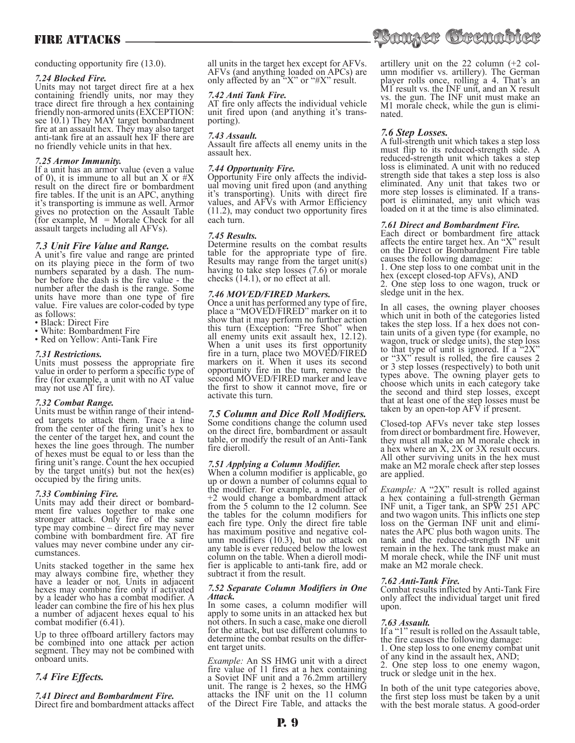# FIRE ATTACKS –

conducting opportunity fire (13.0).

#### *7.24 Blocked Fire.*

Units may not target direct fire at a hex containing friendly units, nor may they trace direct fire through a hex containing friendly non-armored units (EXCEPTION: see 10.1) They MAY target bombardment fire at an assault hex. They may also target anti-tank fire at an assault hex IF there are no friendly vehicle units in that hex.

#### *7.25 Armor Immunity.*

If a unit has an armor value (even a value of 0), it is immune to all but an X or  $#X$ result on the direct fire or bombardment fire tables. If the unit is an APC, anything it's transporting is immune as well. Armor gives no protection on the Assault Table (for example,  $M =$  Morale Check for all assault targets including all AFVs).

# *7.3 Unit Fire Value and Range.*

A unit's fire value and range are printed on its playing piece in the form of two<br>numbers separated by a dash. The number before the dash is the fire value - the number after the dash is the range. Some units have more than one type of fire value. Fire values are color-coded by type as follows:

- Black: Direct Fire
- White: Bombardment Fire
- Red on Yellow: Anti-Tank Fire

#### *7.31 Restrictions.*

Units must possess the appropriate fire value in order to perform a specific type of fire (for example, a unit with no AT value may not use AT fire).

#### *7.32 Combat Range.*

Units must be within range of their intend- ed targets to attack them. Trace a line from the center of the firing unit's hex to the center of the target hex, and count the hexes the line goes through. The number of hexes must be equal to or less than the firing unit's range. Count the hex occupied by the target unit(s) but not the hex(es) occupied by the firing units.

*7.33 Combining Fire.* ment fire values together to make one stronger attack. Only fire of the same type may combine – direct fire may never combine with bombardment fire. AT fire values may never combine under any cir- cumstances.

Units stacked together in the same hex may always combine fire, whether they have a leader or not. Units in adjacent hexes may combine fire only if activated by a leader who has a combat modifier. A leader can combine the fire of his hex plus a number of adjacent hexes equal to his combat modifier (6.41).

Up to three offboard artillery factors may be combined into one attack per action segment. They may not be combined with onboard units.

# *7.4 Fire Effects.*

*7.41 Direct and Bombardment Fire.* Direct fire and bombardment attacks affect all units in the target hex except for AFVs. AFVs (and anything loaded on APCs) are only affected by an " $X$ " or " $\#X$ " result.

#### *7.42 Anti Tank Fire.*

AT fire only affects the individual vehicle unit fired upon (and anything it's trans- porting).

#### *7.43 Assault.*

Assault fire affects all enemy units in the assault hex.

# *7.44 Opportunity Fire.*

Opportunity Fire only affects the individ- ual moving unit fired upon (and anything it's transporting). Units with direct fire values, and AFVs with Armor Efficiency (11.2), may conduct two opportunity fires each turn.

#### *7.45 Results.*

Determine results on the combat results table for the appropriate type of fire. Results may range from the target unit(s) having to take step losses (7.6) or morale checks (14.1), or no effect at all.

#### *7.46 MOVED/FIRED Markers.*

Once a unit has performed any type of fire, place a "MOVED/FIRED" marker on it to show that it may perform no further action this turn (Exception: "Free Shot" when all enemy units exit assault hex, 12.12). When a unit uses its first opportunity fire in a turn, place two MOVED/FIRED markers on it. When it uses its second opportunity fire in the turn, remove the second MOVED/FIRED marker and leave the first to show it cannot move, fire or activate this turn.

# *7.5 Column and Dice Roll Modifiers.*

Some conditions change the column used on the direct fire, bombardment or assault table, or modify the result of an Anti-Tank fire dieroll.

# *7.51 Applying a Column Modifier.*

When a column modifier is applicable, go up or down a number of columns equal to the modifier. For example, a modifier of +2 would change a bombardment attack from the 5 column to the 12 column. See the tables for the column modifiers for each fire type. Only the direct fire table<br>has maximum positive and negative column modifiers  $(10.3)$ , but no attack on any table is ever reduced below the lowest fier is applicable to anti-tank fire, add or subtract it from the result.

#### *7.52 Separate Column Modifiers in One Attack.*

In some cases, a column modifier will apply to some units in an attacked hex but not others. In such a case, make one dieroll for the attack, but use different columns to determine the combat results on the differ- ent target units.

*Example:* An SS HMG unit with a direct fire value of 11 fires at a hex containing a Soviet INF unit and a 76.2mm artillery unit. The range is 2 hexes, so the HMG attacks the INF unit on the 11 column of the Direct Fire Table, and attacks the artillery unit on the 22 column (+2 col- umn modifier vs. artillery). The German player rolls once, rolling a 4. That's an M1 result vs. the INF unit, and an X result vs. the gun. The INF unit must make an M1 morale check, while the gun is elimi- nated.

# *7.6 Step Losses.*

A full-strength unit which takes a step loss must flip to its reduced-strength side. A reduced-strength unit which takes a step loss is eliminated. A unit with no reduced strength side that takes a step loss is also eliminated. Any unit that takes two or more step losses is eliminated. If a transport is eliminated, any unit which was loaded on it at the time is also eliminated.

#### *7.61 Direct and Bombardment Fire.*

Each direct or bombardment fire attack affects the entire target hex. An "X" result on the Direct or Bombardment Fire table causes the following damage:

1. One step loss to one combat unit in the hex (except closed-top AFVs), AND

2. One step loss to one wagon, truck or sledge unit in the hex.

In all cases, the owning player chooses which unit in both of the categories listed takes the step loss. If a hex does not con- tain units of a given type (for example, no wagon, truck or sledge units), the step loss to that type of unit is ignored. If a " $2X$ " or " $3X$ " result is rolled, the fire causes 2 or 3 step losses (respectively) to both unit types above. The owning player gets to choose which units in each category take the second and third step losses, except that at least one of the step losses must be taken by an open-top AFV if present.

Closed-top AFVs never take step losses from direct or bombardment fire. However, they must all make an M morale check in a hex where an X, 2X or 3X result occurs. All other surviving units in the hex must make an M2 morale check after step losses are applied.

*Example:* A "2X" result is rolled against a hex containing a full-strength German INF unit, a Tiger tank, an SPW 251 APC and two wagon units. This inflicts one step loss on the German INF unit and eliminates the APC plus both wagon units. The tank and the reduced-strength INF unit remain in the hex. The tank must make an M morale check, while the INF unit must make an M2 morale check.

# *7.62 Anti-Tank Fire.*

Combat results inflicted by Anti-Tank Fire only affect the individual target unit fired upon.

# *7.63 Assault.*

If a "1" result is rolled on the Assault table, the fire causes the following damage: 1. One step loss to one enemy combat unit

of any kind in the assault hex, AND;

2. One step loss to one enemy wagon, truck or sledge unit in the hex.

In both of the unit type categories above, the first step loss must be taken by a unit with the best morale status. A good-order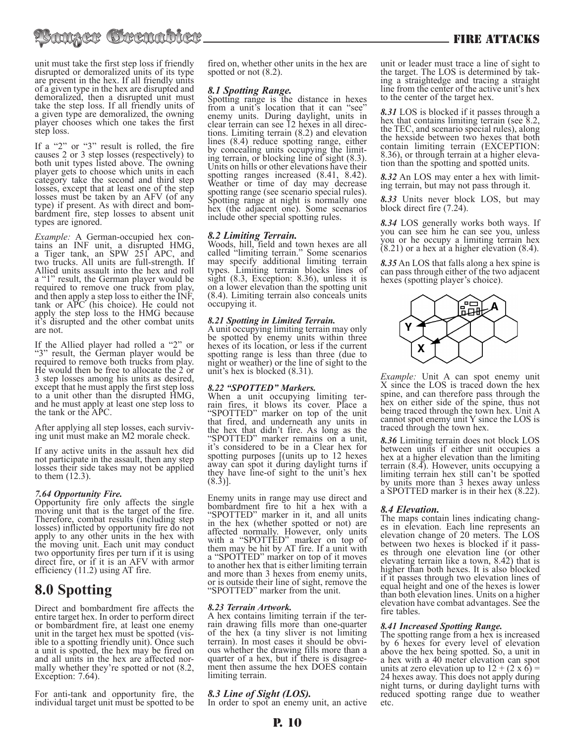# tanzer Crenabler

unit must take the first step loss if friendly disrupted or demoralized units of its type are present in the hex. If all friendly units of a given type in the hex are disrupted and demoralized, then a disrupted unit must take the step loss. If all friendly units of a given type are demoralized, the owning player chooses which one takes the first step loss.

If a "2" or "3" result is rolled, the fire causes 2 or 3 step losses (respectively) to both unit types listed above. The owning player gets to choose which units in each category take the second and third step losses, except that at least one of the step losses must be taken by an AFV (of any type) if present. As with direct and bom- bardment fire, step losses to absent unit types are ignored.

*Example:* A German-occupied hex contains an INF unit, a disrupted HMG, a Tiger tank, an SPW 251 APC, and two trucks. All units are full-strength. If Allied units assault into the hex and roll a "1" result, the German player would be required to remove one truck from play, and then apply a step loss to either the INF, tank or APC (his choice). He could not apply the step loss to the HMG because it's disrupted and the other combat units are not.

If the Allied player had rolled a "2" or "3" result, the German player would be required to remove both trucks from play. He would then be free to allocate the 2 or 3 step losses among his units as desired, except that he must apply the first step loss to a unit other than the disrupted HMG, and he must apply at least one step loss to the tank or the APC.

After applying all step losses, each surviv- ing unit must make an M2 morale check.

If any active units in the assault hex did not participate in the assault, then any step losses their side takes may not be applied to them (12.3).

# *7.64 Opportunity Fire.*

Opportunity fire only affects the single moving unit that is the target of the fire. Therefore, combat results (including step losses) inflicted by opportunity fire do not apply to any other units in the hex with the moving unit. Each unit may conduct two opportunity fires per turn if it is using direct fire, or if it is an AFV with armor efficiency (11.2) using AT fire.

# **8.0 Spotting**

Direct and bombardment fire affects the entire target hex. In order to perform direct or bombardment fire, at least one enemy unit in the target hex must be spotted (vis- ible to a spotting friendly unit). Once such a unit is spotted, the hex may be fired on and all units in the hex are affected nor- mally whether they're spotted or not (8.2, Exception: 7.64).

For anti-tank and opportunity fire, the individual target unit must be spotted to be fired on, whether other units in the hex are spotted or not (8.2).

# *8.1 Spotting Range.*

Spotting range is the distance in hexes from a unit's location that it can "see" enemy units. During daylight, units in clear terrain can see 12 hexes in all direc- tions. Limiting terrain (8.2) and elevation tions. Limiting terrain  $(8.2)$  and elevation lines  $(8.4)$  reduce spotting range, either by concealing units occupying the limit- ing terrain, or blocking line of sight (8.3). Units on hills or other elevations have their spotting ranges increased (8.41, 8.42). Weather or time of day may decrease spotting range (see scenario special rules). Spotting range at night is normally one hex (the adjacent one). Some scenarios include other special spotting rules.

# *8.2 Limiting Terrain.*

Woods, hill, field and town hexes are all called "limiting terrain." Some scenarios may specify additional limiting terrain types. Limiting terrain blocks lines of sight (8.3, Exception: 8.36), unless it is on a lower elevation than the spotting unit (8.4). Limiting terrain also conceals units occupying it.

# *8.21 Spotting in Limited Terrain.*

A unit occupying limiting terrain may only be spotted by enemy units within three hexes of its location, or less if the current spotting range is less than three (due to night or weather) or the line of sight to the unit's hex is blocked (8.31).

# *8.22 "SPOTTED" Markers.*

When a unit occupying limiting terrain fires, it blows its cover. Place a "SPOTTED" marker on top of the unit that fired, and underneath any units in the hex that didn't fire. As long as the "SPOTTED" marker remains on a unit, it's considered to be in a Clear hex for spotting purposes [(units up to 12 hexes away can spot it during daylight turns if they have line-of sight to the unit's hex  $(8.3)$ ].

Enemy units in range may use direct and bombardment fire to hit a hex with a "SPOTTED" marker in it, and all units in the hex (whether spotted or not) are affected normally. However, only units with a "SPOTTED" marker on top of them may be hit by AT fire. If a unit with a "SPOTTED" marker on top of it moves to another hex that is either limiting terrain and more than 3 hexes from enemy units, or is outside their line of sight, remove the "SPOTTED" marker from the unit.

*8.23 Terrain Artwork.* rain drawing fills more than one-quarter of the hex (a tiny sliver is not limiting terrain). In most cases it should be obvi-<br>ous whether the drawing fills more than a<br>quarter of a hex, but if there is disagreement then assume the hex DOES contain limiting terrain.

# *8.3 Line of Sight (LOS).*

In order to spot an enemy unit, an active

unit or leader must trace a line of sight to the target. The LOS is determined by tak- ing a straightedge and tracing a straight line from the center of the active unit's hex to the center of the target hex.

*8.31* LOS is blocked if it passes through a hex that contains limiting terrain (see 8.2, the TEC, and scenario special rules), along the hexside between two hexes that both contain limiting terrain (EXCEPTION: 8.36), or through terrain at a higher eleva- tion than the spotting and spotted units.

*8.32* An LOS may enter a hex with limit- ing terrain, but may not pass through it.

*8.33* Units never block LOS, but may block direct fire (7.24).

*8.34* LOS generally works both ways. If you can see him he can see you, unless you or he occupy a limiting terrain hex (8.21) or a hex at a higher elevation (8.4).

*8.35* An LOS that falls along a hex spine is can pass through either of the two adjacent hexes (spotting player's choice).



*Example:* Unit A can spot enemy unit X since the LOS is traced down the hex spine, and can therefore pass through the hex on either side of the spine, thus not being traced through the town hex. Unit A cannot spot enemy unit Y since the LOS is traced through the town hex.

*8.36* Limiting terrain does not block LOS between units if either unit occupies a hex at a higher elevation than the limiting terrain (8.4). However, units occupying a limiting terrain hex still can't be spotted by units more than 3 hexes away unless a SPOTTED marker is in their hex (8.22).

# *8.4 Elevation.*

The maps contain lines indicating changes in elevation. Each line represents an elevation change of 20 meters. The LOS between two hexes is blocked if it pass-<br>es through one elevation line (or other elevating terrain like a town, 8.42) that is higher than both hexes. It is also blocked if it passes through two elevation lines of equal height and one of the hexes is lower than both elevation lines. Units on a higher elevation have combat advantages. See the fire tables.

# *8.41 Increased Spotting Range.*

The spotting range from a hex is increased by 6 hexes for every level of elevation above the hex being spotted. So, a unit in a hex with a 40 meter elevation can spot units at zero elevation up to  $12 + (2 \times 6) =$ 24 hexes away. This does not apply during night turns, or during daylight turns with reduced spotting range due to weather etc.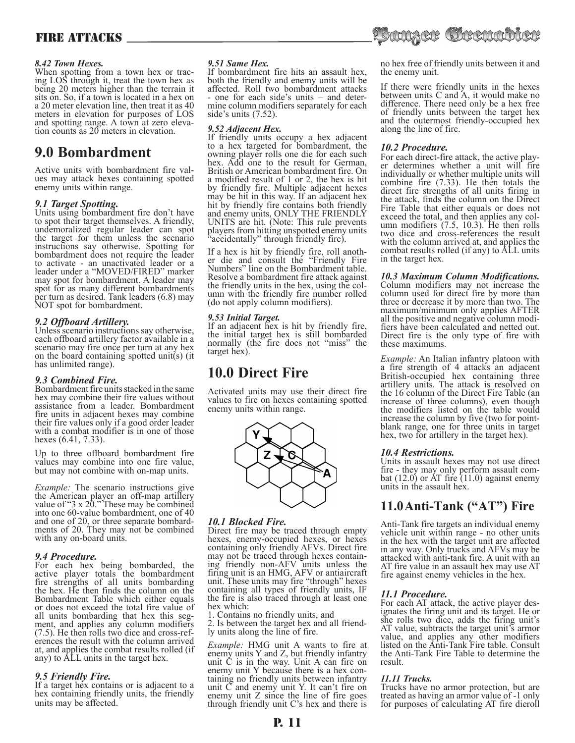# *8.42 Town Hexes.*

When spotting from a town hex or trac-<br>ing LOS through it, treat the town hex as being 20 meters higher than the terrain it sits on. So, if a town is located in a hex on a 20 meter elevation line, then treat it as 40 meters in elevation for purposes of LOS and spotting range. A town at zero eleva- tion counts as 20 meters in elevation.

# **9.0 Bombardment**

Active units with bombardment fire val- ues may attack hexes containing spotted enemy units within range.

# *9.1 Target Spotting.*

Units using bombardment fire don't have to spot their target themselves. A friendly, undemoralized regular leader can spot the target for them unless the scenario instructions say otherwise. Spotting for bombardment does not require the leader to activate - an unactivated leader or a leader under a "MOVED/FIRED" marker may spot for bombardment. A leader may spot for as many different bombardments per turn as desired. Tank leaders (6.8) may NOT spot for bombardment.

# *9.2 Offboard Artillery.*

Unless scenario instructions say otherwise, each offboard artillery factor available in a scenario may fire once per turn at any hex on the board containing spotted unit(s) (it has unlimited range).

# *9.3 Combined Fire.*

Bombardment fire units stacked in the same hex may combine their fire values without assistance from a leader. Bombardment fire units in adjacent hexes may combine their fire values only if a good order leader with a combat modifier is in one of those hexes (6.41, 7.33).

Up to three offboard bombardment fire values may combine into one fire value, but may not combine with on-map units.

*Example:* The scenario instructions give the American player an off-map artillery value of "3 x 20." These may be combined into one 60-value bombardment, one of 40 and one of 20, or three separate bombard- ments of 20. They may not be combined with any on-board units.

# *9.4 Procedure.*

For each hex being bombarded, the active player totals the bombardment fire strengths of all units bombarding the hex. He then finds the column on the Bombardment Table which either equals or does not exceed the total fire value of all units bombarding that hex this segment, and applies any column modifiers (7.5). He then rolls two dice and cross-ref- erences the result with the column arrived at, and applies the combat results rolled (if any) to ALL units in the target hex.

# *9.5 Friendly Fire.*

If a target hex contains or is adjacent to a hex containing friendly units, the friendly units may be affected.

# *9.51 Same Hex.*

If bombardment fire hits an assault hex, both the friendly and enemy units will be affected. Roll two bombardment attacks - one for each side's units – and deter- mine column modifiers separately for each side's units (7.52).

# *9.52 Adjacent Hex.*

If friendly units occupy a hex adjacent to a hex targeted for bombardment, the owning player rolls one die for each such hex. Add one to the result for German, British or American bombardment fire. On a modified result of 1 or 2, the hex is hit by friendly fire. Multiple adjacent hexes may be hit in this way. If an adjacent hex hit by friendly fire contains both friendly and enemy units, ONLY THE FRIENDLY UNITS are hit. (Note: This rule prevents players from hitting unspotted enemy units "accidentally" through friendly fire).

If a hex is hit by friendly fire, roll anoth- er die and consult the "Friendly Fire Numbers" line on the Bombardment table. Resolve a bombardment fire attack against the friendly units in the hex, using the col- umn with the friendly fire number rolled (do not apply column modifiers).

# *9.53 Initial Target.*

If an adjacent hex is hit by friendly fire, the initial target hex is still bombarded normally (the fire does not "miss" the target hex).

# **10.0 Direct Fire**

Activated units may use their direct fire values to fire on hexes containing spotted enemy units within range.



# *10.1 Blocked Fire.*

Direct fire may be traced through empty hexes, enemy-occupied hexes, or hexes containing only friendly AFVs. Direct fire may not be traced through hexes contain- ing friendly non-AFV units unless the firing unit is an HMG, AFV or antiaircraft unit. These units may fire "through" hexes containing all types of friendly units, IF the fire is also traced through at least one hex which:

1. Contains no friendly units, and

2. Is between the target hex and all friend- ly units along the line of fire.

*Example:* HMG unit A wants to fire at enemy units Y and Z, but friendly infantry unit C is in the way. Unit A can fire on enemy unit Y because there is a hex containing no friendly units between infantry unit  $\check{C}$  and enemy unit Y. It can't fire on enemy unit Z since the line of fire goes through friendly unit C's hex and there is

no hex free of friendly units between it and the enemy unit.

If there were friendly units in the hexes between units C and A, it would make no difference. There need only be a hex free of friendly units between the target hex and the outermost friendly-occupied hex along the line of fire.

# *10.2 Procedure.*

For each direct-fire attack, the active play-<br>er determines whether a unit will fire individually or whether multiple units will combine fire (7.33). He then totals the direct fire strengths of all units firing in the attack, finds the column on the Direct Fire Table that either equals or does not exceed the total, and then applies any col- umn modifiers (7.5, 10.3). He then rolls two dice and cross-references the result with the column arrived at, and applies the combat results rolled (if any) to ALL units in the target hex.

*10.3 Maximum Column Modifications.* Column modifiers may not increase the column used for direct fire by more than three or decrease it by more than two. The maximum/minimum only applies AFTER all the positive and negative column modi- fiers have been calculated and netted out. Direct fire is the only type of fire with these maximums.

*Example:* An Italian infantry platoon with a fire strength of 4 attacks an adjacent British-occupied hex containing three artillery units. The attack is resolved on the 16 column of the Direct Fire Table (an increase of three columns), even though the modifiers listed on the table would increase the column by five (two for pointblank range, one for three units in target hex, two for artillery in the target hex).

# *10.4 Restrictions.*

Units in assault hexes may not use direct<br>fire - they may only perform assault combat  $(12.0)$  or AT fire (11.0) against enemy units in the assault hex.

# **11.0 Anti-Tank ("AT") Fire**

Anti-Tank fire targets an individual enemy vehicle unit within range - no other units in the hex with the target unit are affected in any way. Only trucks and AFVs may be attacked with anti-tank fire. A unit with an AT fire value in an assault hex may use AT fire against enemy vehicles in the hex.

# *11.1 Procedure.*

For each AT attack, the active player des- ignates the firing unit and its target. He or she rolls two dice, adds the firing unit's AT value, subtracts the target unit's armor value, and applies any other modifiers listed on the Anti-Tank Fire table. Consult the Anti-Tank Fire Table to determine the result.

# *11.11 Trucks.*

Trucks have no armor protection, but are treated as having an armor value of -1 only for purposes of calculating AT fire dieroll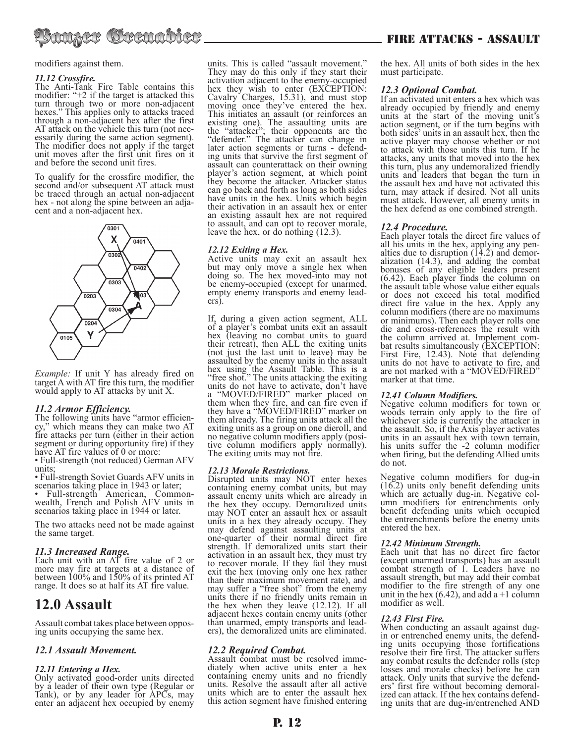

modifiers against them.

#### *11.12 Crossfire.*

The Anti-Tank Fire Table contains this modifier: "+2 if the target is attacked this turn through two or more non-adjacent hexes." This applies only to attacks traced through a non-adjacent hex after the first AT attack on the vehicle this turn (not nec- essarily during the same action segment). The modifier does not apply if the target unit moves after the first unit fires on it and before the second unit fires.

To qualify for the crossfire modifier, the second and/or subsequent AT attack must be traced through an actual non-adjacent hex - not along the spine between an adja- cent and a non-adjacent hex.



*Example:* If unit Y has already fired on target A with AT fire this turn, the modifier would apply to AT attacks by unit X.

# *11.2 Armor Efficiency.*

The following units have "armor efficien- cy," which means they can make two AT fire attacks per turn (either in their action segment or during opportunity fire) if they have AT fire values of 0 or more:

• Full-strength (not reduced) German AFV units;

• Full-strength Soviet Guards AFV units in scenarios taking place in 1943 or later;

Full-strength American, Commonwealth, French and Polish AFV units in scenarios taking place in 1944 or later.

The two attacks need not be made against the same target.

# *11.3 Increased Range.*

Each unit with an AT fire value of 2 or more may fire at targets at a distance of between 100% and 150% of its printed AT range. It does so at half its AT fire value.

# **12.0 Assault**

Assault combat takes place between oppos- ing units occupying the same hex.

# *12.1 Assault Movement.*

# *12.11 Entering a Hex.*

Only activated good-order units directed by a leader of their own type (Regular or Tank), or by any leader for APCs, may enter an adjacent hex occupied by enemy units. This is called "assault movement." They may do this only if they start their activation adjacent to the enemy-occupied hex they wish to enter (EXCEPTION: Cavalry Charges, 15.31), and must stop moving once they've entered the hex. This initiates an assault (or reinforces an existing one). The assaulting units are the "attacker"; their opponents are the "defender." The attacker can change in<br>later action segments or turns - defending units that survive the first segment of assault can counterattack on their owning player's action segment, at which point they become the attacker. Attacker status can go back and forth as long as both sides have units in the hex. Units which begin their activation in an assault hex or enter an existing assault hex are not required to assault, and can opt to recover morale, leave the hex, or do nothing (12.3).

# *12.12 Exiting a Hex.*

Active units may exit an assault hex but may only move a single hex when doing so. The hex moved-into may not be enemy-occupied (except for unarmed, empty enemy transports and enemy lead-<br>ers).

If, during a given action segment, ALL of a player's combat units exit an assault hex (leaving no combat units to guard their retreat), then ALL the exiting units (not just the last unit to leave) may be assaulted by the enemy units in the assault hex using the Assault Table. This is a "free shot." The units attacking the exiting units do not have to activate, don't have a "MOVED/FIRED" marker placed on them when they fire, and can fire even if they have a "MOVED/FIRED" marker on them already. The firing units attack all the exiting units as a group on one dieroll, and no negative column modifiers apply (posi- tive column modifiers apply normally). The exiting units may not fire.

# *12.13 Morale Restrictions.*

Disrupted units may NOT enter hexes containing enemy combat units, but may assault enemy units which are already in the hex they occupy. Demoralized units may NOT enter an assault hex or assault units in a hex they already occupy. They may defend against assaulting units at one-quarter of their normal direct fire strength. If demoralized units start their activation in an assault hex, they must try to recover morale. If they fail they must exit the hex (moving only one hex rather than their maximum movement rate), and may suffer a "free shot" from the enemy units there if no friendly units remain in the hex when they leave (12.12). If all adjacent hexes contain enemy units (other than unarmed, empty transports and lead- ers), the demoralized units are eliminated.

# *12.2 Required Combat.*

Assault combat must be resolved imme-<br>diately when active units enter a hex containing enemy units and no friendly units. Resolve the assault after all active units which are to enter the assault hex this action segment have finished entering

# FIRE ATTACKS - ASSAULT

the hex. All units of both sides in the hex must participate.

# *12.3 Optional Combat.*

If an activated unit enters a hex which was already occupied by friendly and enemy units at the start of the moving unit's action segment, or if the turn begins with both sides' units in an assault hex, then the active player may choose whether or not to attack with those units this turn. If he attacks, any units that moved into the hex this turn, plus any undemoralized friendly units and leaders that began the turn in the assault hex and have not activated this turn, may attack if desired. Not all units must attack. However, all enemy units in the hex defend as one combined strength.

#### *12.4 Procedure.*

Each player totals the direct fire values of all his units in the hex, applying any pen-<br>alties due to disruption  $(14.2)$  and demor-<br>alization  $(14.3)$ , and adding the combat bonuses of any eligible leaders present (6.42). Each player finds the column on the assault table whose value either equals or does not exceed his total modified direct fire value in the hex. Apply any column modifiers (there are no maximums or minimums). Then each player rolls one die and cross-references the result with the column arrived at. Implement com- bat results simultaneously (EXCEPTION: First Fire, 12.43). Note that defending units do not have to activate to fire, and are not marked with a "MOVED/FIRED" marker at that time.

# *12.41 Column Modifiers.*

Negative column modifiers for town or woods terrain only apply to the fire of whichever side is currently the attacker in the assault. So, if the Axis player activates units in an assault hex with town terrain, his units suffer the -2 column modifier when firing, but the defending Allied units do not.

Negative column modifiers for dug-in (16.2) units only benefit defending units which are actually dug-in. Negative col-<br>umn modifiers for entrenchments only benefit defending units which occupied the entrenchments before the enemy units entered the hex.

#### *12.42 Minimum Strength.*

Each unit that has no direct fire factor (except unarmed transports) has an assault combat strength of 1. Leaders have no assault strength, but may add their combat modifier to the fire strength of any one unit in the hex  $(6.42)$ , and add a +1 column modifier as well.

#### *12.43 First Fire.*

When conducting an assault against dug-<br>in or entrenched enemy units, the defendin or entrenched enemy units, the defend- ing units occupying those fortifications resolve their fire first. The attacker suffers any combat results the defender rolls (step losses and morale checks) before he can<br>attack. Only units that survive the defenders' first fire without becoming demoral-<br>ized can attack. If the hex contains defend-<br>ing units that are dug-in/entrenched AND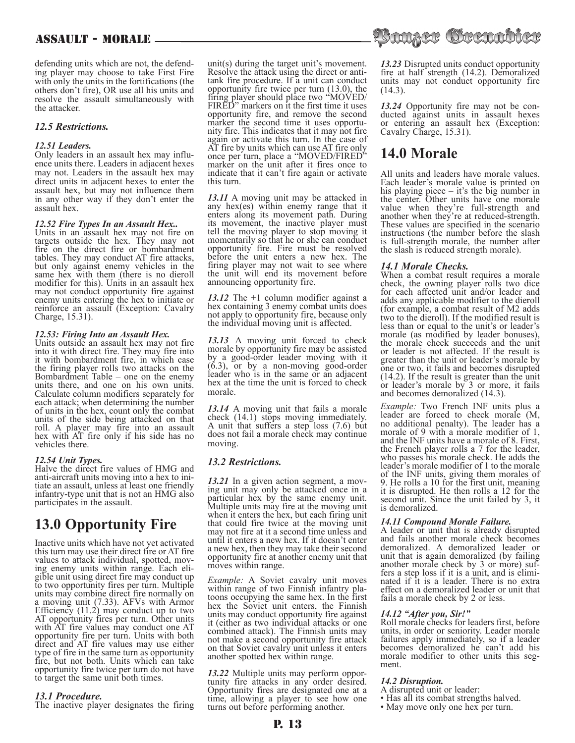defending units which are not, the defend- ing player may choose to take First Fire with only the units in the fortifications (the others don't fire), OR use all his units and resolve the assault simultaneously with the attacker.

# *12.5 Restrictions.*

# *12.51 Leaders.*

Only leaders in an assault hex may influ- ence units there. Leaders in adjacent hexes may not. Leaders in the assault hex may direct units in adjacent hexes to enter the assault hex, but may not influence them in any other way if they don't enter the assault hex.

# *12.52 Fire Types In an Assault Hex..*

Units in an assault hex may not fire on targets outside the hex. They may not fire on the direct fire or bombardment tables. They may conduct AT fire attacks, but only against enemy vehicles in the same hex with them (there is no dieroll modifier for this). Units in an assault hex may not conduct opportunity fire against enemy units entering the hex to initiate or reinforce an assault (Exception: Cavalry Charge, 15.31).

#### *12.53: Firing Into an Assault Hex.*

Units outside an assault hex may not fire into it with direct fire. They may fire into it with bombardment fire, in which case the firing player rolls two attacks on the Bombardment Table – one on the enemy units there, and one on his own units. Calculate column modifiers separately for each attack; when determining the number of units in the hex, count only the combat units of the side being attacked on that roll. A player may fire into an assault hex with AT fire only if his side has no vehicles there.

# *12.54 Unit Types.*

Halve the direct fire values of HMG and anti-aircraft units moving into a hex to intiate an assault, unless at least one friendly infantry-type unit that is not an HMG also participates in the assault.

# **13.0 Opportunity Fire**

Inactive units which have not yet activated this turn may use their direct fire or AT fire ing enemy units within range. Each eli-<br>gible unit using direct fire may conduct up to two opportunity fires per turn. Multiple units may combine direct fire normally on a moving unit (7.33). AFVs with Armor Efficiency (11.2) may conduct up to two AT opportunity fires per turn. Other units with AT fire values may conduct one AT opportunity fire per turn. Units with both direct and AT fire values may use either type of fire in the same turn as opportunity fire, but not both. Units which can take opportunity fire twice per turn do not have to target the same unit both times.

# *13.1 Procedure.*

The inactive player designates the firing

unit(s) during the target unit's movement. Resolve the attack using the direct or antitank fire procedure. If a unit can conduct opportunity fire twice per turn (13.0), the firing player should place two "MOVED/ FIRED" markers on it the first time it uses opportunity fire, and remove the second marker the second time it uses opportunity fire. This indicates that it may not fire again or activate this turn. In the case of AT fire by units which can use AT fire only once per turn, place a "MOVED/FIRED" marker on the unit after it fires once to indicate that it can't fire again or activate this turn.

*13.11* A moving unit may be attacked in any hex(es) within enemy range that it enters along its movement path. During its movement, the inactive player must tell the moving player to stop moving it momentarily so that he or she can conduct opportunity fire. Fire must be resolved before the unit enters a new hex. The firing player may not wait to see where the unit will end its movement before announcing opportunity fire.

*13.12* The +1 column modifier against a hex containing 3 enemy combat units does not apply to opportunity fire, because only the individual moving unit is affected.

*13.13* A moving unit forced to check morale by opportunity fire may be assisted by a good-order leader moving with it (6.3), or by a non-moving good-order leader who is in the same or an adjacent hex at the time the unit is forced to check morale.

*13.14* A moving unit that fails a morale check (14.1) stops moving immediately. A unit that suffers a step loss (7.6) but does not fail a morale check may continue moving.

# *13.2 Restrictions.*

13.21 In a given action segment, a moving unit may only be attacked once in a particular hex by the same enemy unit. Multiple units may fire at the moving unit when it enters the hex, but each firing unit that could fire twice at the moving unit may not fire at it a second time unless and until it enters a new hex. If it doesn't enter a new hex, then they may take their second opportunity fire at another enemy unit that moves within range.

*Example:* A Soviet cavalry unit moves within range of two Finnish infantry platoons occupying the same hex. In the first hex the Soviet unit enters, the Finnish units may conduct opportunity fire against it (either as two individual attacks or one combined attack). The Finnish units may not make a second opportunity fire attack on that Soviet cavalry unit unless it enters another spotted hex within range.

13.22 Multiple units may perform opportunity fire attacks in any order desired. Opportunity fires are designated one at a time, allowing a player to see how one turns out before performing another.



*13.23* Disrupted units conduct opportunity fire at half strength (14.2). Demoralized units may not conduct opportunity fire (14.3).

*13.24* Opportunity fire may not be con- ducted against units in assault hexes or entering an assault hex (Exception: Cavalry Charge, 15.31).

# **14.0 Morale**

All units and leaders have morale values. Each leader's morale value is printed on his playing piece – it's the big number in the center. Other units have one morale value when they're full-strength and another when they're at reduced-strength. These values are specified in the scenario instructions (the number before the slash is full-strength morale, the number after the slash is reduced strength morale).

# *14.1 Morale Checks.*

When a combat result requires a morale check, the owning player rolls two dice for each affected unit and/or leader and adds any applicable modifier to the dieroll (for example, a combat result of M2 adds two to the dieroll). If the modified result is less than or equal to the unit's or leader's morale (as modified by leader bonuses), the morale check succeeds and the unit or leader is not affected. If the result is greater than the unit or leader's morale by one or two, it fails and becomes disrupted (14.2). If the result is greater than the unit or leader's morale by 3 or more, it fails and becomes demoralized (14.3).

*Example:* Two French INF units plus a leader are forced to check morale (M, no additional penalty). The leader has a morale of 9 with a morale modifier of 1, and the INF units have a morale of 8. First, the French player rolls a 7 for the leader, who passes his morale check. He adds the leader's morale modifier of 1 to the morale of the INF units, giving them morales of 9. He rolls a 10 for the first unit, meaning it is disrupted. He then rolls a 12 for the second unit. Since the unit failed by 3, it is demoralized.

# *14.11 Compound Morale Failure.*

A leader or unit that is already disrupted and fails another morale check becomes demoralized. A demoralized leader or unit that is again demoralized (by failing another morale check by 3 or more) suffers a step loss if it is a unit, and is eliminated if it is a leader. There is no extra effect on a demoralized leader or unit that fails a morale check by 2 or less.

# *14.12 "After you, Sir!"*

Roll morale checks for leaders first, before units, in order or seniority. Leader morale failures apply immediately, so if a leader becomes demoralized he can't add his morale modifier to other units this seg-

#### *14.2 Disruption.*

- A disrupted unit or leader:
- Has all its combat strengths halved.
- May move only one hex per turn.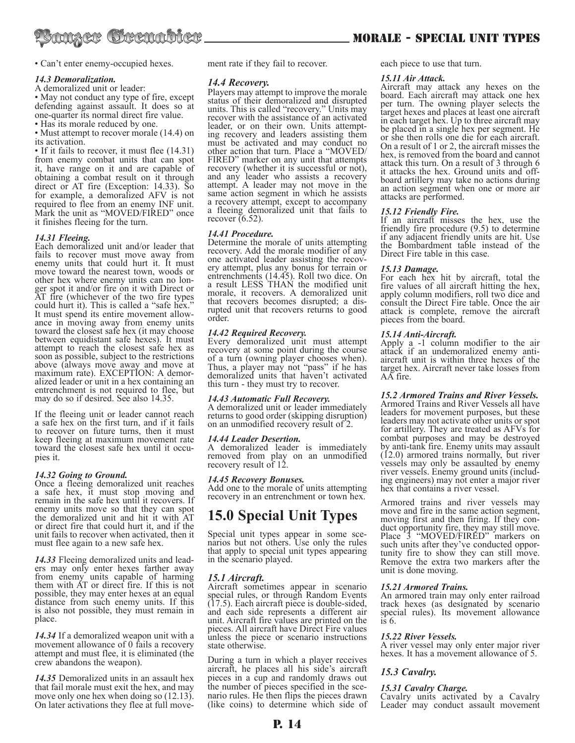

• Can't enter enemy-occupied hexes.

# *14.3 Demoralization.*

A demoralized unit or leader:

• May not conduct any type of fire, except defending against assault. It does so at one-quarter its normal direct fire value.

• Has its morale reduced by one.

• Must attempt to recover morale (14.4) on its activation.

• If it fails to recover, it must flee (14.31) from enemy combat units that can spot it, have range on it and are capable of obtaining a combat result on it through direct or AT fire (Exception: 14.33). So for example, a demoralized AFV is not required to flee from an enemy INF unit. Mark the unit as "MOVED/FIRED" once it finishes fleeing for the turn.

# *14.31 Fleeing.*

Each demoralized unit and/or leader that fails to recover must move away from enemy units that could hurt it. It must move toward the nearest town, woods or other hex where enemy units can no longer spot it and/or fire on it with Direct or AT fire (whichever of the two fire types could hurt it). This is called a "safe hex." It must spend its entire movement allow- ance in moving away from enemy units toward the closest safe hex (it may choose between equidistant safe hexes). It must attempt to reach the closest safe hex as soon as possible, subject to the restrictions above (always move away and move at maximum rate). EXCEPTION: A demoralized leader or unit in a hex containing an entrenchment is not required to flee, but may do so if desired. See also 14.35.

If the fleeing unit or leader cannot reach a safe hex on the first turn, and if it fails to recover on future turns, then it must keep fleeing at maximum movement rate toward the closest safe hex until it occupies it.

# *14.32 Going to Ground.*

Once a fleeing demoralized unit reaches a safe hex, it must stop moving and remain in the safe hex until it recovers. If enemy units move so that they can spot the demoralized unit and hit it with AT or direct fire that could hurt it, and if the unit fails to recover when activated, then it must flee again to a new safe hex.

*14.33* Fleeing demoralized units and lead- ers may only enter hexes farther away from enemy units capable of harming them with AT or direct fire. If this is not possible, they may enter hexes at an equal distance from such enemy units. If this is also not possible, they must remain in place.

*14.34* If a demoralized weapon unit with a movement allowance of 0 fails a recovery attempt and must flee, it is eliminated (the crew abandons the weapon).

*14.35* Demoralized units in an assault hex that fail morale must exit the hex, and may move only one hex when doing so  $(12.13)$ . On later activations they flee at full movement rate if they fail to recover.

# *14.4 Recovery.*

Players may attempt to improve the morale status of their demoralized and disrupted units. This is called "recovery." Units may recover with the assistance of an activated leader, or on their own. Units attempting recovery and leaders assisting them must be activated and may conduct no other action that turn. Place a "MOVED/ FIRED" marker on any unit that attempts recovery (whether it is successful or not), and any leader who assists a recovery attempt. A leader may not move in the same action segment in which he assists a recovery attempt, except to accompany a fleeing demoralized unit that fails to recover  $(6.52)$ .

# *14.41 Procedure.*

Determine the morale of units attempting recovery. Add the morale modifier of any one activated leader assisting the recovone activated leader assisting the recov- ery attempt, plus any bonus for terrain or entrenchments (14.45). Roll two dice. On a result LESS THAN the modified unit morale, it recovers. A demoralized unit that recovers becomes disrupted; a disrupted unit that recovers returns to good order.

# *14.42 Required Recovery.*

Every demoralized unit must attempt recovery at some point during the course of a turn (owning player chooses when). Thus, a player may not "pass" if he has demoralized units that haven't activated this turn - they must try to recover.

# *14.43 Automatic Full Recovery.*

A demoralized unit or leader immediately returns to good order (skipping disruption) on an unmodified recovery result of 2.

# *14.44 Leader Desertion.*

A demoralized leader is immediately removed from play on an unmodified recovery result of 12.

# *14.45 Recovery Bonuses.*

Add one to the morale of units attempting recovery in an entrenchment or town hex.

# **15.0 Special Unit Types**

Special unit types appear in some sce- narios but not others. Use only the rules that apply to special unit types appearing in the scenario played.

# *15.1 Aircraft.*

Aircraft sometimes appear in scenario special rules, or through Random Events (17.5). Each aircraft piece is double-sided, and each side represents a different air unit. Aircraft fire values are printed on the pieces. All aircraft have Direct Fire values unless the piece or scenario instructions state otherwise.

During a turn in which a player receives aircraft, he places all his side's aircraft pieces in a cup and randomly draws out the number of pieces specified in the sce- nario rules. He then flips the pieces drawn (like coins) to determine which side of each piece to use that turn.

# *15.11 Air Attack.*

Aircraft may attack any hexes on the board. Each aircraft may attack one hex per turn. The owning player selects the target hexes and places at least one aircraft in each target hex. Up to three aircraft may be placed in a single hex per segment. He or she then rolls one die for each aircraft. On a result of 1 or 2, the aircraft misses the hex, is removed from the board and cannot attack this turn. On a result of 3 through 6 board artillery may take no actions during. an action segment when one or more air attacks are performed.

# *15.12 Friendly Fire.*

If an aircraft misses the hex, use the friendly fire procedure (9.5) to determine if any adjacent friendly units are hit. Use the Bombardment table instead of the Direct Fire table in this case.

# *15.13 Damage.*

For each hex hit by aircraft, total the fire values of all aircraft hitting the hex, apply column modifiers, roll two dice and consult the Direct Fire table. Once the air attack is complete, remove the aircraft pieces from the board.

# *15.14 Anti-Aircraft.*

Apply a -1 column modifier to the air attack if an undemoralized enemy antiaircraft unit is within three hexes of the target hex. Aircraft never take losses from AA fire.

# *15.2 Armored Trains and River Vessels.*

Armored Trains and River Vessels all have leaders for movement purposes, but these leaders may not activate other units or spot for artillery. They are treated as AFVs for combat purposes and may be destroyed by anti-tank fire. Enemy units may assault (12.0) armored trains normally, but river vessels may only be assaulted by enemy river vessels. Enemy ground units (includ- ing engineers) may not enter a major river hex that contains a river vessel.

Armored trains and river vessels may move and fire in the same action segment, moving first and then firing. If they conmoving first and then firing. If they con-<br>duct opportunity fire, they may still move. Place 3 "MOVED/FIRED" markers on such units after they've conducted oppor-<br>tunity fire to show they can still move. Remove the extra two markers after the unit is done moving.

# *15.21 Armored Trains.*

An armored train may only enter railroad track hexes (as designated by scenario special rules). Its movement allowance is 6.

# *15.22 River Vessels.*

A river vessel may only enter major river hexes. It has a movement allowance of 5.

# *15.3 Cavalry.*

# *15.31 Cavalry Charge.*

Cavalry units activated by a Cavalry Leader may conduct assault movement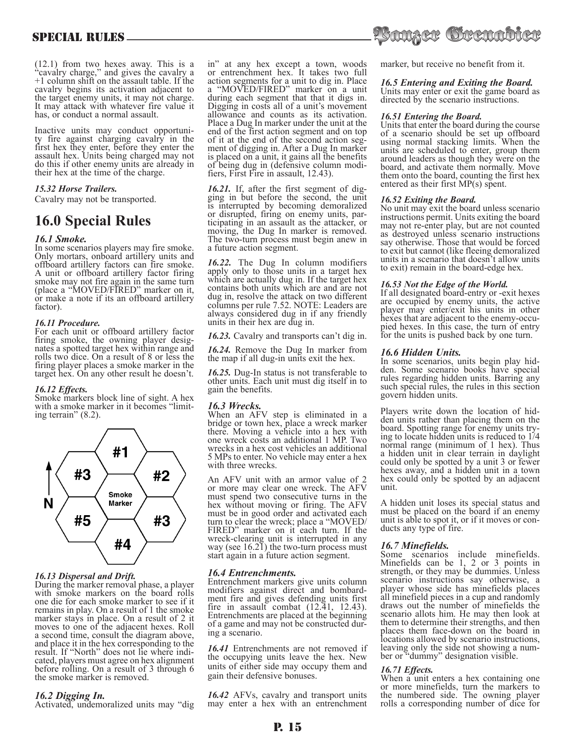(12.1) from two hexes away. This is a "cavalry charge," and gives the cavalry a +1 column shift on the assault table. If the cavalry begins its activation adjacent to the target enemy units, it may not charge. It may attack with whatever fire value it has, or conduct a normal assault.

Inactive units may conduct opportuni- ty fire against charging cavalry in the first hex they enter, before they enter the assault hex. Units being charged may not do this if other enemy units are already in their hex at the time of the charge.

# *15.32 Horse Trailers.*

Cavalry may not be transported.

# **16.0 Special Rules**

# *16.1 Smoke.*

In some scenarios players may fire smoke. Only mortars, onboard artillery units and offboard artillery factors can fire smoke. A unit or offboard artillery factor firing smoke may not fire again in the same turn (place a "MOVED/FIRED" marker on it, or make a note if its an offboard artillery factor).

# *16.11 Procedure.*

For each unit or offboard artillery factor firing smoke, the owning player desig- nates a spotted target hex within range and rolls two dice. On a result of 8 or less the firing player places a smoke marker in the target hex. On any other result he doesn't.

# *16.12 Effects.*

Smoke markers block line of sight. A hex with a smoke marker in it becomes "limit-<br>ing terrain" (8.2).



# *16.13 Dispersal and Drift.*

During the marker removal phase, a player with smoke markers on the board rolls one die for each smoke marker to see if it remains in play. On a result of 1 the smoke marker stays in place. On a result of 2 it moves to one of the adjacent hexes. Roll a second time, consult the diagram above, and place it in the hex corresponding to the result. If "North" does not lie where indi- cated, players must agree on hex alignment cated, players must agree on hex alignment<br>before rolling. On a result of 3 through 6 the smoke marker is removed.

# *16.2 Digging In.*

Activated, undemoralized units may "dig

in" at any hex except a town, woods or entrenchment hex. It takes two full action segments for a unit to dig in. Place a "MOVED/FIRED" marker on a unit during each segment that that it digs in. Digging in costs all of a unit's movement allowance and counts as its activation. Place a Dug In marker under the unit at the end of the first action segment and on top<br>of it at the end of the second action segof it at the end of the second action seg- ment of digging in. After a Dug In marker is placed on a unit, it gains all the benefits of being dug in (defensive column modi- fiers, First Fire in assault, 12.43).

*16.21.* If, after the first segment of dig-<br>ging in but before the second, the unit is interrupted by becoming demoralized or disrupted, firing on enemy units, par- ticipating in an assault as the attacker, or moving, the Dug In marker is removed. The two-turn process must begin anew in a future action segment.

*16.22.* The Dug In column modifiers apply only to those units in a target hex which are actually dug in. If the target hex contains both units which are and are not dug in, resolve the attack on two different columns per rule 7.52. NOTE: Leaders are always considered dug in if any friendly units in their hex are dug in.

*16.23.* Cavalry and transports can't dig in.

*16.24.* Remove the Dug In marker from the map if all dug-in units exit the hex.

*16.25.* Dug-In status is not transferable to other units. Each unit must dig itself in to gain the benefits.

# *16.3 Wrecks.*

When an AFV step is eliminated in a bridge or town hex, place a wreck marker there. Moving a vehicle into a hex with one wreck costs an additional 1 MP. Two wrecks in a hex cost vehicles an additional 5 MPs to enter. No vehicle may enter a hex with three wrecks.

An AFV unit with an armor value of 2 or more may clear one wreck. The AFV must spend two consecutive turns in the hex without moving or firing. The AFV must be in good order and activated each turn to clear the wreck; place a "MOVED/ FIRED" marker on it each turn. If the wreck-clearing unit is interrupted in any way (see 16.21) the two-turn process must start again in a future action segment.

# *16.4 Entrenchments.*

Entrenchment markers give units column modifiers against direct and bombard- ment fire and gives defending units first fire in assault combat  $(12.41, 12.43)$ . Entrenchments are placed at the beginning of a game and may not be constructed dur- ing a scenario.

*16.41* Entrenchments are not removed if the occupying units leave the hex. New units of either side may occupy them and gain their defensive bonuses.

*16.42* AFVs, cavalry and transport units may enter a hex with an entrenchment



marker, but receive no benefit from it.

# *16.5 Entering and Exiting the Board.*

Units may enter or exit the game board as directed by the scenario instructions.

# *16.51 Entering the Board.*

Units that enter the board during the course of a scenario should be set up offboard using normal stacking limits. When the units are scheduled to enter, group them around leaders as though they were on the board, and activate them normally. Move them onto the board, counting the first hex entered as their first MP(s) spent.

#### *16.52 Exiting the Board.*

No unit may exit the board unless scenario instructions permit. Units exiting the board may not re-enter play, but are not counted as destroyed unless scenario instructions say otherwise. Those that would be forced to exit but cannot (like fleeing demoralized units in a scenario that doesn't allow units to exit) remain in the board-edge hex.

# *16.53 Not the Edge of the World.*

If all designated board-entry or -exit hexes are occupied by enemy units, the active player may enter/exit his units in other hexes that are adjacent to the enemy-occupied hexes. In this case, the turn of entryfor the units is pushed back by one turn.

# *16.6 Hidden Units.*

In some scenarios, units begin play hid- den. Some scenario books have special rules regarding hidden units. Barring any such special rules, the rules in this section govern hidden units.

Players write down the location of hid-<br>den units rather than placing them on the<br>board. Spotting range for enemy units trying to locate hidden units is reduced to  $1/4$ normal range (minimum of 1 hex). Thus a hidden unit in clear terrain in daylight could only be spotted by a unit 3 or fewer hexes away, and a hidden unit in a town hex could only be spotted by an adjacent unit.

A hidden unit loses its special status and must be placed on the board if an enemy unit is able to spot it, or if it moves or con- ducts any type of fire.

# *16.7 Minefields.*

Some scenarios include minefields. Minefields can be 1, 2 or 3 points in strength, or they may be dummies. Unless scenario instructions say otherwise, a player whose side has minefields places all minefield pieces in a cup and randomly draws out the number of minefields the scenario allots him. He may then look at them to determine their strengths, and then places them face-down on the board in locations allowed by scenario instructions, leaving only the side not showing a num- ber or "dummy" designation visible.

# *16.71 Effects.*

When a unit enters a hex containing one or more minefields, turn the markers to the numbered side. The owning player rolls a corresponding number of dice for